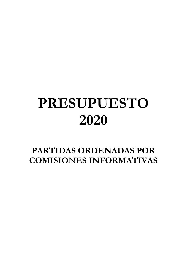## **PRESUPUESTO 2020**

**PARTIDAS ORDENADAS POR COMISIONES INFORMATIVAS**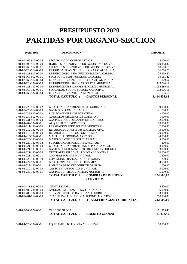## **PRESUPUESTO 2020 PARTIDAS POR ORGANO-SECCION**

**PARTIDA DESCRIPCION IMPORTE**

| 1-01-00-162-912-00-05 | SEGUROS VIDA CORPORATIVOS                             | 4.000,00     |
|-----------------------|-------------------------------------------------------|--------------|
| 1-01-01-100-912-00-00 | HABERES CORPORAT.DEDICACION EXCLUSIVA                 | 229.383,82   |
| 1-01-01-160-912-00-01 | CUOTAS S.S.CORPORAT.DEDICACION EXCLUSIVA              | 68.580,16    |
| 1-01-02-120-912-00-00 | RETRIB.BASICAS PERS.FUNCIONARIO ALCALDIA              | 16.216,76    |
| 1-01-02-121-912-00-00 | RETRIB.COMPL. PERS.FUNCIONARIO ALCALDIA               | 25.399,57    |
| 1-01-02-160-912-00-01 | SEG.SOCIAL PERS.FUNCION.ALCALDIA                      | 10.585,42    |
| 1-01-02-160-912-00-04 | ELKARKIDETZA PERS.FUNCIONARIO ALCALDIA                | 1.179,64     |
| 1-01-04-120-132-00-00 | RETRIBUCIONES BASICAS POLICIA MUNICIPAL               | 433.226,17   |
| 1-01-04-121-132-00-00 | RETRIBUCIONES COMPLEM.POLICIA MUNICIPAL               |              |
|                       |                                                       | 1.032.289,31 |
| 1-01-04-160-132-00-01 | SEGURIDAD SOCIAL POLICIA MUNICIPAL                    | 592.136,11   |
| 1-01-04-160-132-00-04 | ELKARKIDETZA POLICIA MUNICIPAL                        | 31.656,66    |
|                       | <b>TOTAL CAPITULO 1</b><br><b>GASTOS PERSONAL</b>     | 2.444.653,62 |
|                       |                                                       |              |
| 1-01-00-226-912-00-02 | GTOS.FUNCIONAMIENTO ORG.GOBIERNO                      | 9.000,00     |
| 1-01-00-226-912-00-03 | <b>GASTOS DE COMUNICACION</b>                         | 21.780,00    |
| 1-01-00-226-920-00-03 | PUBLICACIONES CORPORATIVAS                            | 3.000,00     |
| 1-01-00-230-912-00-01 | <b>CURSILLOS ORGANOS DE GOBIERNO</b>                  | 1.000,00     |
| 1-01-00-231-912-00-00 | <b>GASTOS VIAJES ORGANOS DE GOBIERNO</b>              | 2.000,00     |
| 1-01-04-202-132-00-01 | ALQUILER CINEMOMETRO                                  | 70.000,00    |
| 1-01-04-211-132-00-00 | REPARACION SEDE POLICIA MUNICIPAL                     | 2.000,00     |
| 1-01-04-212-132-00-00 | REPARAC.EQUIPOS E INST.POLICIA MPAL                   | 3.500,00     |
| 1-01-04-213-132-00-00 | REPARAC.VEHICULOS POLICIA MPAL                        | 20.000,00    |
| 1-01-04-215-132-00-01 | MANT. Y LI. PROGRAMA GESPOL                           | 4.000,00     |
| 1-01-04-220-132-00-00 | MATERIAL OFICINA POLICIA MPAL                         | 3.000,00     |
| 1-01-04-220-132-00-02 | SUSCRIPCIONES POLICIA MUNICIPAL                       | 200,00       |
| 1-01-04-221-132-00-00 | GTOS.FUNCIONAMIENTO SEDE POLICIA MPAL.                | 13.000,00    |
| 1-01-04-221-133-00-01 | GASTOS FUNCIONAMIENTO DEPOSITO VEHICULOS              | 3.000,00     |
| 1-01-04-221-132-00-05 | VESTUARIO PERSONAL POLICIA MUNICIPAL                  | 20.000,00    |
| 1-01-04-221-132-00-11 | COMPRAS POLICIA MUNICIPAL                             | 3.500,00     |
| 1-01-04-226-132-00-99 | COMISIONES BANCARIAS SERV.GRUA                        | 200,00       |
| 1-01-04-227-132-00-01 | GTOS.LIMPIEZA SEDE POLICIA MPAL.                      | 14.500,00    |
| 1-01-04-227-133-00-01 | LIMPIEZA DEPOSITO VEHICULOS GRUA                      | 1.000,00     |
| 1-01-04-230-132-00-00 | <b>GASTOS VIAJE POLICIA MUNICIPAL</b>                 | 5.000,00     |
| 1-01-04-230-132-00-01 | GASTOS CURSILLOS POLICIA MUNICIPAL                    | 5.000,00     |
|                       | <b>TOTAL CAPITULO 2</b><br><b>COMPRAS DE BIENES Y</b> | 204.680,00   |
|                       | <b>SERVICIOS</b>                                      |              |
| 1-01-00-411-922-00-00 | <b>CUOTAS EUDEL</b>                                   | 4.600,00     |
| 1-01-00-480-231-00-00 | AYUDAS FAMILIAS-RIESGO EXC.SOCIAL                     | 5.000,00     |
| 1-01-00-480-334-00-00 | SUBV.ACTIVID.EXTRA ORGANOS GOBIERNO                   | 3.000,00     |
| 1-01-00-481-912-00-00 | TRANSF. PARTIDOS Y COALICIONES POLITICAS              | 200.000,00   |
|                       | TOTAL CAPITULO 4 TRANSFERENCIAS CORRIENTES            | 212.600,00   |
|                       |                                                       |              |
| 1-01-00-500-929-00-01 | <b>CREDITO GLOBAL</b>                                 | 61.873,40    |
|                       | <b>TOTAL CAPITULO 5</b><br><b>CREDITO GLOBAL</b>      | 61.873,40    |
|                       |                                                       |              |
| 1-01-04-623-132-00-01 | EQUIPAMIENTO POLICIA MUNICIPAL                        | 10.000,00    |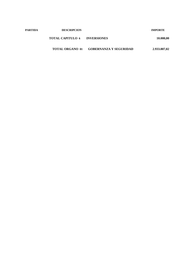| <b>PARTIDA</b> | <b>DESCRIPCION</b>      |                               | <b>IMPORTE</b> |
|----------------|-------------------------|-------------------------------|----------------|
|                | <b>TOTAL CAPITULO 6</b> | <b>INVERSIONES</b>            | 10.000,00      |
|                | <b>TOTAL ORGANO 01</b>  | <b>GOBERNANZA Y SEGURIDAD</b> | 2.933.807,02   |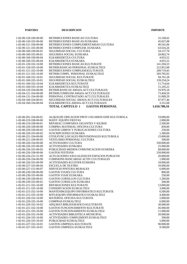| <b>PARTIDA</b>          | <b>DESCRIPCION</b>                                | <b>IMPORTE</b> |  |
|-------------------------|---------------------------------------------------|----------------|--|
|                         |                                                   |                |  |
| 1-02-00-120-330-00-00   | RETRIBUCIONES BASICAS CULTURA                     | 52.168,62      |  |
| 1-02-00-120-335-00-00   | RETRIBUCIONES BASICAS EUSKARA                     | 45.027,08      |  |
| 1-02-00-121-330-00-00   | RETRIBUCIONES COMPLEMENTARIAS CULTURA             | 90.541,06      |  |
| 1-02-00-121-335-00-00   | RETRIBUCIONES COMPLEM. EUSKARA                    | 63.616,26      |  |
| 1-02-00-160-330-00-01   | SEGURIDAD SOCIAL CULTURA                          | 34.137,70      |  |
| 1-02-00-160-335-00-01   | SEGURIDA SOCIAL EUSKARA                           | 28.862,74      |  |
| 1-02-00-160-330-00-04   | ELKARKIDETZA CULTURA                              | 4.055,52       |  |
| 1-02-00-160-335-00-04   | ELKARKIDETZA EUSKARA                              | 4.055,52       |  |
| 1-02-01-120-332-10-00   | RETRIBUCIONES BASICAS KULTURATE                   | 141.294,53     |  |
| 1-02-01-120-335-10-00   | RETRIB.BASICAS PERSONAL EUSKALTEGI                | 212.852,08     |  |
| $1-02-01-121-332-10-00$ | RETRIBUCIONES COMPLEM.KULTURATE                   | 209.719,45     |  |
| 1-02-01-121-335-10-00   | RETRIB.COMPL. PERSONAL EUSKALTEGI                 | 283.785,02     |  |
| 1-02-01-160-332-10-01   | SEGURIDAD SOCIAL KULTURATE                        | 94.761,28      |  |
| 1-02-01-160-335-10-01   | SEGURIDAD SOCIAL EUSKALTEGI                       | 139.254,24     |  |
| 1-02-01-160-332-10-04   | ELKARKIDETZA KULTURATE                            | 11.714,64      |  |
| 1-02-01-160-335-10-04   | ELKARKIDETZA EUSKALTEGI                           | 11.245,22      |  |
| 1-02-04-120-334-00-00   | RETRIB.BASICAS AMAIA-ACT.CULTURALES               | 33.976,18      |  |
| 1-02-04-121-334-00-00   | RETRIB.COMPLEM AMAIA-ACT.CULTURALES               | 73.494,59      |  |
| 1-02-04-131-334-00-00   | PERSONAL CONTRATADO ACT.CULTURALES                | 31.089,29      |  |
| 1-02-04-160-334-00-01   | SEGURIDAD SOCIAL AMAIA-ACT.CULTURALES             | 47.977,46      |  |
| 1-02-04-160-334-00-04   | ELKARKIDETZA AMAIA-ACT.CULTURALES                 | 3.151,68       |  |
|                         | <b>TOTAL CAPITULO 1</b><br><b>GASTOS PERSONAL</b> | 1.616.780,16   |  |
|                         |                                                   |                |  |
| 1-02-00-201-334-00-01   | ALQUILER UBICACION PROV.USUARIOS EDIF.KULTUROLA   | 19.000,00      |  |
| 1-02-00-219-338-00-00   | MANT. EQUIPO FIESTAS                              | 2.000,00       |  |
| 1-02-00-219-338-00-01   | REPARAC.COMPARSA GIGANTES Y KILIKIS               | 2.500,00       |  |
| 1-02-00-220-330-00-00   | COMPRA MATERIAL OFICINA: CULTURA                  | 850,00         |  |
| 1-02-00-220-330-00-02   | GASTOS LIBROS Y PUBLICACIONES CULTURA             | 250,00         |  |
| 1-02-00-220-335-00-02   | <b>SUSCRIPCIONES EUSKARA</b>                      | 1.300,00       |  |
| 1-02-00-221-334-00-00   | GTOS.FUNC.LOCALES PROVISIONALES KULTUROLA         | 15.000,00      |  |
| 1-02-00-221-330-00-05   | VESTUARIO PERSONAL CULTURA                        | 500,00         |  |
| 1-02-00-226-334-00-00   | <b>ACTIVIDADES CULTURA</b>                        | 350.000,00     |  |
| 1-02-00-226-335-00-00   | <b>ACTIVIDADES EUSKARA</b>                        | 25.000,00      |  |
| 1-02-00-226-335-00-03   | PUBLICIDAD MEDIOS COMUNICACION EUSKERA            | 68.000,00      |  |
| 1-02-00-226-338-00-06   | <b>GASTOS FESTEJOS</b>                            | 250.000,00     |  |
| 1-02-00-226-231-51-99   | ACTUACIONES S/IGUALDAD EN ESPACIOS PUBLICOS       | 20.000,00      |  |
| 1-02-00-226-334-00-99   | COMISIONS BANCARIAS ACTIV.CULTURALES              | 1.900,00       |  |
| 1-02-00-226-335-00-99   | ACTIVIDADES KLUSTER EUSKERA                       | 10.000,00      |  |
| 1-02-00-227-333-00-04   | <b>ESCUELA DE TEATRO</b>                          | 10.000,00      |  |
| 1-02-00-227-151-00-07   | SERVICIO PINTURA MURALES                          | 6.000,00       |  |
| 1-02-00-230-330-00-00   | GASTOS VIAJES CULTURA                             | 800,00         |  |
| 1-02-00-230-335-00-00   | <b>GASTOS VIAJE EUSKARA</b>                       | 250,00         |  |
| 1-02-00-230-330-00-01   | GASTOS CURSILLOS CULTURA                          | 1.200,00       |  |
| 1-02-00-230-335-00-01   | <b>GASTOS CURSILLOS EUSKARA</b>                   | 500,00         |  |
| 1-02-01-211-332-10-00   | REPARACIONES KULTURATE                            | 13.000,00      |  |
| 1-02-01-211-335-10-00   | CONSERVACION EUSKALTEGI                           | 3.000,00       |  |
| 1-02-01-215-332-10-00   | MANTENIM.EQUIPO INFORMATICO KULTURATE             | 6.500,00       |  |
| 1-02-01-215-335-10-00   | MTO.EQUIPO INFORMATICO EUSKALTEGI                 | 4.400,00       |  |
| 1-02-01-220-332-10-00   | MATERIAL OFICINA KULTURATE                        | 5.000,00       |  |
| 1-02-01-220-335-10-00   | COMPRAS EUSKALTEGI                                | 6.000,00       |  |
| 1-02-01-220-332-10-02   | ADQ.MAT.BIBLIOGRAFICO KULTURATE                   | 30.000,00      |  |
| 1-02-01-221-332-10-00   | <b>GASTOS FUNCIONAMIENTO KULTURATE</b>            | 45.000,00      |  |
| 1-02-01-221-335-10-00   | <b>GASTOS FUNCIONAMIENTO EUSKALTEGI</b>           | 11.000,00      |  |
| 1-02-01-226-332-10-00   | ACTIVIDADES BIBLIOTECA MUNICIPAL                  | 20.000,00      |  |
| 1-02-01-226-335-10-00   | ACTIVIDADES COMPLEMENT.EUSKALTEGI                 | 500,00         |  |
| 1-02-01-226-335-10-03   | PUBLICIDAD EUSKALTEGI                             | 5.000,00       |  |
| 1-02-01-227-332-10-01   | <b>GASTOS LIMPIEZA KULTURATE</b>                  | 90.000,00      |  |
| 1-02-01-227-335-10-01   | GASTOS LIMPIEZA EUSKALTEGI                        | 9.500,00       |  |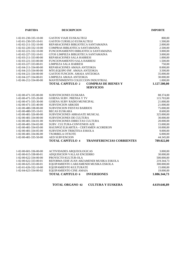| <b>PARTIDA</b>                                 | <b>DESCRIPCION</b>                                               | <b>IMPORTE</b>          |
|------------------------------------------------|------------------------------------------------------------------|-------------------------|
| 1-02-01-230-335-10-00                          | <b>GASTOS VIAJE EUSKALTEGI</b>                                   | 800,00                  |
| 1-02-01-230-335-10-01                          | <b>GASTOS CURSILLO EUSKALTEGI</b>                                | 1.500,00                |
| 1-02-02-211-332-10-00                          | REPARACIONES BIBLIOTECA SANTAMAINA                               | 2.000,00                |
| 1-02-02-220-332-10-00                          | COMPRAS BIBLIOTECA SANTAMAINA                                    | 2.500,00                |
| 1-02-02-221-332-10-00                          | FUNCIONAMIENTO BIBLIOTECA SANTAMAINA                             | 3.000,00                |
| 1-02-02-227-332-10-01                          | GTOS LIMPIEZA BIBLIOTECA SANTAMAINA                              | 3.000,00                |
| 1-02-03-211-333-00-00                          | REPARACIONES SALA HARRESI                                        | 1.000,00                |
| 1-02-03-221-333-00-00                          | FUNCIONAMIENTO SALA HARRESI                                      | 1.500,00                |
| 1-02-03-227-333-00-01                          | LIMPIEZA SALA HARRESI                                            | 750,00                  |
| 1-02-04-211-334-00-00                          | REPARACIONES AMAIA ANTZOKIA                                      | 8.000,00                |
| 1-02-04-215-334-00-00                          | MTO.EQUIPO INF. AMAIA ANTZOKIA                                   | 3.500,00                |
| 1-02-04-221-334-00-00                          | GASTOS FUNCION. AMAIA ANTZOKIA                                   | 35.000,00               |
| 1-02-04-227-334-00-01                          | LIMPIEZA AMAIA ANTZOKIA                                          | 30.000,00               |
| 1-02-06-212-334-00-00                          | MANTENIMIENTO COLECCION INDUSTRIAL                               | 1.000,00                |
|                                                | <b>TOTAL CAPITULO 2</b><br><b>COMPRAS DE BIENES Y</b>            | 1.127.500,00            |
|                                                | <b>SERVICIOS</b>                                                 |                         |
| 1-02-00-471-335-00-00                          | SUBVENCIONES EUSKARA                                             | 88.374,00               |
| 1-02-00-471-335-20-00                          | <b>GOIENA SUBV. PRENSA Y TV</b>                                  | 115.703,00              |
| 1-02-00-471-335-30-00                          | GOIENA SUBV RADIO MUNICIPAL                                      | 21.000,00               |
| 1-02-00-471-335-40-00                          | <b>SUBVENCION ARKODI</b>                                         | 21.000,00               |
| 1-02-00-480-338-00-00                          | <b>SUBVENCION FIESTAS BARRIOS</b>                                | 75.000,00               |
| 1-02-00-480-335-10-01                          | <b>BECAS EUSKARA</b>                                             | 8.600,00                |
| 1-02-00-481-326-00-00                          | SUBVENCIONES ARRASATE MUSICAL                                    | 325.000,00              |
| 1-02-00-481-334-00-00                          | SUBVENCIONES DE CULTURA                                          | 30.000,00               |
| 1-02-00-481-334-01-00                          | SUBVENCIONES DIRECTAS CULTURA                                    | 20.000,00               |
| 1-02-00-481-334-02-00                          | SUBV. CULTURA-CONVENIOS AZE                                      | 15.000,00               |
| 1-02-00-481-334-03-00                          | HAUSPOZ ELKARTEA - CERTAMEN ACORDEON                             | 10.000,00               |
| 1-02-00-481-334-05-00                          | SUBVENCION TRIKITIXA ESKOLA                                      | 9.000,00                |
| 1-02-00-481-334-06-00                          | <b>TXORBELA OTXOTE</b>                                           | 6.000,00                |
| 1-02-00-481-335-50-00                          | <b>AED SUBVENCION</b>                                            | 44.345,00               |
|                                                | <b>TOTAL CAPITULO 4</b><br><b>TRANSFERENCIAS CORRIENTES</b>      | 789.022,00              |
|                                                |                                                                  |                         |
| 1-02-00-601-336-00-00                          | ACTIVIDADES ARQUEOLOGICAS                                        | 3.000,00                |
| 1-02-00-615-338-00-01                          | ADQUISICION VALLAS ENCIERRO<br>PROYECTO KULTUR-OLA               | 30.000,00               |
| 1-02-00-622-334-00-00                          |                                                                  | 500.000,00              |
| 1-02-00-622-333-00-01                          | REFORMA EDIF.JUAN ARZAMENDI MUSIKA ESKOLA                        | 219.344,73              |
| 1-02-00-625-333-00-01<br>1-02-01-626-332-10-00 | EQUIPAMIENTO J.ARZAMENDI MUSIKA ESKOLA<br>EQUIPAMIENTO KULTURATE | 300.000,00<br>15.000,00 |
| 1-02-04-623-334-00-02                          | EQUIPAMIENTO CINE AMAIA                                          | 19.000,00               |
|                                                |                                                                  |                         |
|                                                | <b>TOTAL CAPITULO 6</b><br><b>INVERSIONES</b>                    | 1.086.344,73            |

**TOTAL ORGANO 02 CULTURA Y EUSKERA 4.619.646,89**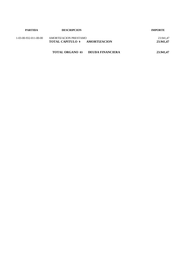| <b>PARTIDA</b>        | <b>DESCRIPCION</b>                                               | <b>IMPORTE</b>         |
|-----------------------|------------------------------------------------------------------|------------------------|
| 1-03-00-932-011-00-00 | AMORTIZACION PRESTAMO<br><b>TOTAL CAPITULO 9</b><br>AMORTIZACION | 23.941,47<br>23.941,47 |
|                       | <b>TOTAL ORGANO 03</b><br><b>DEUDA FINANCIERA</b>                | 23.941,47              |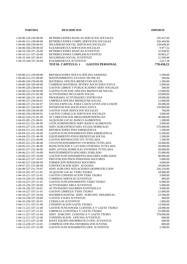| <b>PARTIDA</b>        | <b>DESCRIPCION</b>                                | <b>IMPORTE</b> |
|-----------------------|---------------------------------------------------|----------------|
|                       |                                                   |                |
| 1-04-00-120-230-00-00 | RETRIBUCIONES BASICAS SERVICIOS SOCIALES          | 195.437,09     |
| 1-04-00-121-230-00-00 | RETRIBUCIONES COMPL.SERVICIOS SOCIALES            | 326.444,96     |
| 1-04-00-160-230-00-01 | <b>SEGURIDAD SOCIAL SERVICIOS SOCIALES</b>        | 138.609,49     |
| 1-04-00-160-230-00-04 | ELKARKIDETZA SERVICIOS SOCIALES                   | 9.977,52       |
| 1-04-10-120-337-20-00 | RETRIBUCIONES BASICAS JUVENTUD                    | 32.938,92      |
| 1-04-10-121-337-20-00 | RETRIBUCIONES COMPLEM.JUVENTUD                    | 50.863,27      |
| 1-04-10-160-337-20-01 | SEGURIDAD SOCIAL JUVENTUD                         | 21.569,40      |
| 1-04-10-160-337-20-04 | ELKARKIDETZA JUVENTUD                             | 2.617,58       |
|                       | <b>TOTAL CAPITULO 1</b><br><b>GASTOS PERSONAL</b> | 778.458,23     |
|                       |                                                   |                |
| 1-04-00-211-230-00-00 | REPARACIONES NUEVA OFICINA SANIDAD                | 2.500,00       |
| 1-04-00-212-231-00-00 | MANTENIMIENTO AYUDAS TECNICAS                     | 500,00         |
| 1-04-00-220-230-00-00 | MATERIAL OFICINA BIENESTAR SOCIAL                 | 1.200,00       |
| 1-04-00-220-326-00-00 | COMPRAS MATERIAL INTERV.SOCIO EDUCATIVA           | 5.000,00       |
| 1-04-00-220-230-00-02 | GASTOS LIBROS Y PUBLICACIONES SERV. SOCIALES      | 500,00         |
| 1-04-00-221-230-00-00 | GASTOS FUNCION. OFICINA BIENESTAR SOCIAL          | 12.000,00      |
| 1-04-00-226-231-82-00 | ACTIVIDADES INCLUSION SOCIAL                      | 10.000,00      |
| 1-04-00-226-231-20-01 | PROGRAMA ACTIVIDADES CENTRO DIA                   | 18.000,00      |
| 1-04-00-227-230-00-01 | LIMPIEZA OFICINA BIENESTAR SOCIAL                 | 12.000,00      |
| 1-04-00-227-231-82-07 | AYUDA ESPECIAL PARA CASOS LEVES EXCLUSION         | 20.000,00      |
| 1-04-00-227-326-00-07 | INTERVENCION SOCIO EDUCATIVA                      | 150.000,00     |
| 1-04-00-230-230-00-00 | <b>GASTOS VIAJE SERVICIOS SOCIALES</b>            | 700,00         |
| 1-04-00-230-230-00-01 | <b>GASTOS CURSILLOS SERVICIOS SOCIALES</b>        | 3.000,00       |
| 1-04-02-226-231-81-00 | ACT.PREVENCION DROGODEPENDENCIAS                  | 40.000,00      |
| 1-04-03-201-231-00-01 | ALQUILER LOCAL BANCO ALIMENTOS                    | 1.300,00       |
| 1-04-03-221-231-00-99 | GTOS.SUMINISTROS SERV.BANCO ALIMENTOS             | 3.000,00       |
| 1-04-03-227-231-10-00 | SERV.SUBCONTRATADO AYUDA DOMICILIO                | 570.000,00     |
| 1-04-04-211-231-50-00 | REPARACIONES PISO EMERGENCIA                      | 1.500,00       |
| 1-04-04-221-231-50-00 | GASTOS FUNCIONAMIENTO PISO EMERGENCIA             | 6.500,00       |
| 1-04-04-221-231-40-99 | EQUIPAMIENTO PISOS BIENESTAR SOCIAL               | 1.500,00       |
| 1-04-05-211-231-40-00 | GASTOS REPARACION VIV.TUTELADA                    | 1.500,00       |
| 1-04-05-221-231-40-00 | GTO.FUNCIONAMIENTO VIVIENDA TUTELADA              | 10.000,00      |
| 1-04-05-221-231-40-06 | MANUTENCION Y LAVAND. VIVIENDA TUTELADA           | 20.000,00      |
| 1-04-05-227-231-40-00 | SERV.AYUDA DOMICILIO VIVIENDA TUTELADA            | 58.000,00      |
| 1-04-06-211-337-10-00 | MANTENIMIENTO HOGARES JUBILADO                    | 25.000,00      |
| 1-04-06-221-337-10-00 | <b>GASTOS FUNCIONAMIENTO HOGARES JUBILADOS</b>    | 90.000,00      |
| 1-04-06-227-337-10-07 | PREVENCION PISOS PERSONAS MAYORES                 | 5.000,00       |
| 1-04-06-227-230-00-99 | FORMACION PERSONAS MAYORES                        | 4.000,00       |
| 1-04-07-227-231-60-99 | CONTRATACION SERV. ACOGIDA                        | 18.000.00      |
| 1-04-08-227-231-70-07 | SERV.SUBCONT-SITUACIONES DESPROTECCION            | 326.250,00     |
| 1-04-10-201-337-21-01 | ALQUILER LOCAL TXIKI TXOKO                        | 18.000,00      |
| 1-04-10-211-337-21-01 | GASTOS CONSERVACION TXIKI TXOKO                   | 3.000,00       |
| 1-04-10-220-337-20-00 | <b>COMPRAS SERVICIO JUVENTUD</b>                  | 800,00         |
| 1-04-10-221-337-21-01 | GASTOS FUNCIONAMIENTO TXIKI TXOKO                 | 6.000,00       |
| 1-04-10-226-337-20-00 | <b>ACTIVIDADES AREA JUVENTUD</b>                  | 5.000,00       |
| 1-04-10-226-337-24-01 | ACTIVIDADES HAURREN KONTSEILUA                    | 4.000,00       |
| 1-04-10-227-337-21-01 | <b>GASTOS LIMPIEZA TXIKI TXOKO</b>                | 12.000,00      |
| 1-04-10-227-337-24-04 | HAURREN KONTSE, SERV. SUBCONT. DINAMIZAC.         | 23.500,00      |
| 1-04-10-230-337-20-00 | <b>GASTOS VIAJES JUVENTUD</b>                     | 600,00         |
| 1-04-10-230-337-20-01 | <b>CURSILLOS JUVENTUD</b>                         | 1.000,00       |
| 1-04-11-211-337-21-00 | <b>CONSERVACION GAZTE TXOKO</b>                   | 12.000,00      |
| 1-04-11-221-337-21-00 | GASTOS FUNCIONAM. LUDOTECA Y GAZTE TXOKO          | 24.000,00      |
| 1-04-11-227-337-21-01 | LIMPIEZA LUDOTEKA Y GAZTE-TXOKO                   | 25.000,00      |
| 1-04-11-227-337-21-04 | SERV. SUBCONT. LUDOTECA Y GAZTE TXOKO             | 378.000,00     |
| 1-04-12-211-337-22-00 | CONSERVACION OFICINA JUVENTUD                     | 600,00         |
| 1-04-12-215-337-22-00 | MANT.EQUIPO INFORMATICO OFIC.JUVENTUD             | 600,00         |
| 1-04-12-220-337-22-01 | COMPRAS OFICINA INFORMACION JUVENIL               | 800,00         |
| 1-04-12-221-337-22-00 | GASTOS FUNCIONAMIENTO OFIC.JUVENTUD               | 2.500,00       |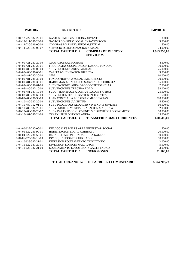| <b>PARTIDA</b>        | <b>DESCRIPCION</b>                                          | <b>IMPORTE</b> |
|-----------------------|-------------------------------------------------------------|----------------|
| 1-04-12-227-337-22-01 | <b>GASTOS LIMPIEZA OFICINA JUVENTUD</b>                     | 1.800,00       |
| 1-04-13-211-337-23-00 | <b>GASTOS CONSERV.LOCAL ENSAYOS ROCK</b>                    | 3.000,00       |
| 1-04-14-220-326-00-00 | COMPRAS MAT.SERV.INFORM.SEXUAL                              | 600,00         |
| 1-04-14-227-326-00-07 | <b>SERVICIO DE INFORMACION SEXUAL</b>                       | 24.000,00      |
|                       | <b>TOTAL CAPITULO 2</b><br><b>COMPRAS DE BIENES Y</b>       | 1.963.750,00   |
|                       | <b>SERVICIOS</b>                                            |                |
| 1-04-00-421-230-20-00 | <b>CUOTA EUSKAL FONDOA</b>                                  | 4.500,00       |
| 1-04-00-421-230-20-01 | PROGRAMAS COOPERACION EUSKAL FONDOA                         | 10.000,00      |
| 1-04-00-480-231-00-00 | SUBVENCIONES AREA SANIDAD                                   | 25.000,00      |
| 1-04-00-480-231-00-01 | CARITAS-SUBVENCION DIRECTA                                  | 3.000,00       |
| 1-04-00-481-230-20-00 | <b>ONG</b>                                                  | 60.000,00      |
| 1-04-00-481-231-30-00 | FONDO PROPIO - AYUDAS EMERGENCIA                            | 20.000,00      |
| 1-04-00-481-231-30-01 | HARREMAN-MUNDUKIDE SUBVENCION DIRECTA                       | 15.000,00      |
| 1-04-02-480-231-81-00 | SUBVENCIONES AREA DROGODEPENDENCIAS                         | 7.000,00       |
| 1-04-06-480-337-10-00 | SUBVENCIONES TERCERA EDAD                                   | 38.000,00      |
| 1-04-06-481-337-10-00 | SUDC - HOMENAJE A LOS JUBILADOS Y OTROS                     | 25.000,00      |
| 1-04-08-480-231-60-00 | SUBVENCION OTROS GASTOS-INDIGENTES                          | 500,00         |
| 1-04-09-480-231-30-00 | PLAN CONTRA LA POBREZA-EMERGENCIAS                          | 300.000,00     |
| 1-04-10-480-337-20-00 | <b>SUBVENCIONES JUVENTUD</b>                                | 5.500,00       |
| 1-04-10-480-152-01-01 | SUBV.PROGRAMA ALQUILER VIVIENDAS JOVENES                    | 60.000,00      |
| 1-04-10-480-337-20-01 | SUBV. GRUPOS MUSICA GRABACION MAQUETA                       | 2.000,00       |
| 1-04-10-480-337-20-02 | SUBV.PARTICIP.OCIO JOVENES SIN RECURSOS ECONOMICOS          | 10.000,00      |
| 1-04-10-481-337-24-00 | TXATXILIPURDI-TXIKILANDIA                                   | 15.000,00      |
|                       | <b>TOTAL CAPITULO 4</b><br><b>TRANSFERENCIAS CORRIENTES</b> | 600.500,00     |
| 1-04-00-622-230-00-01 | INV.LOCALES MPLES AREA BIENESTAR SOCIAL                     | 1.500,00       |
| 1-04-01-622-231-90-01 | <b>HABILITACION LOCAL GARIBAI 1</b>                         | 20.000,00      |
| 1-04-04-622-231-50-01 | REHABILITACION HONDARRIBIA KALEA 1                          | 10.000,00      |
| 1-04-06-625-337-10-00 | INV.EQUIP.HOGARES JUBILADO                                  | 10.000,00      |
| 1-04-10-625-337-21-01 | INVERSION EQUIPAMIENTO TXIKI TXOKO                          | 2.000,00       |
| 1-04-11-622-337-20-01 | <b>INVERSION EDIFICIO MULTIUSOS</b>                         | 5.000,00       |
| 1-04-11-625-337-21-00 | EQUIPAMIENTO LUDOTEKA Y GAZTE TXOKO                         | 3.000,00       |
|                       | <b>TOTAL CAPITULO 6 INVERSIONES</b>                         | 51.500,00      |

| <b>TOTAL ORGANO 04</b> | <b>DESARROLLO COMUNITARIO</b> | 3.394.208,23 |
|------------------------|-------------------------------|--------------|
|                        |                               |              |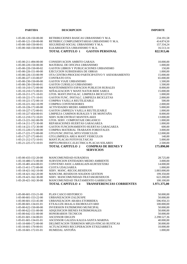| <b>PARTIDA</b>                                 | <b>DESCRIPCION</b>                                                | <b>IMPORTE</b>           |
|------------------------------------------------|-------------------------------------------------------------------|--------------------------|
|                                                |                                                                   |                          |
| 1-05-00-120-150-00-00                          | RETRIBUCIONES BASICAS URBANISMO Y M.A.                            | 234.191,58               |
| 1-05-00-121-150-00-00                          | RETRIBUC.COMPLEMENTARIAS URBANISMO Y M.A.                         | 414.874,50               |
| 1-05-00-160-150-00-01                          | SEGURIDAD SOCIAL URBANISMO Y M.A.                                 | 157.334,24               |
| 1-05-00-160-150-00-04                          | ELKARKIDETZA URBANISMO Y M.A.                                     | 16.513,14                |
|                                                | <b>GASTOS PERSONAL</b><br><b>TOTAL CAPITULO 1</b>                 | 822.913,46               |
|                                                |                                                                   |                          |
| 1-05-00-211-494-00-00                          | CONSERVACION AMBITO GARAIA                                        | 10.000,00                |
| 1-05-00-220-150-00-00                          | MATERIAL DE OFICINA URBANISMO                                     | 1.000,00                 |
| 1-05-00-220-150-00-02                          | GASTOS LIBROS Y PUBLICACIONES URBANISMO                           | 150,00                   |
| 1-05-00-226-151-00-00                          | EJECUCION SUBSIDIARIA DE OBRAS                                    | 1.000,00                 |
| 1-05-00-226-133-00-99                          | OTA CENTRO-PROCESO PARTICIPATIVO Y ASESORAMIENTO                  | 15.000,00                |
| 1-05-00-227-133-00-07                          | <b>CONTRATO OTA</b>                                               | 65.000,00                |
| 1-05-00-230-150-00-00                          | <b>GASTOS VIAJE URBANISMO</b>                                     | 1.500,00                 |
| 1-05-00-230-150-00-01                          | GASTOS CURSILLO URBANISMO                                         | 1.500,00                 |
| 1-05-10-210-172-00-00                          | MANTENIMIENTO ESPACIOS PUBLICOS RURALES                           | 8.000,00                 |
| 1-05-10-210-172-00-01                          | SEÑALIZACION Y MANT.NATUR BIDE SAREA                              | 15.000,00                |
| $1-05-10-211-171-10-01$                        | GTOS. MANT.INSTALAC. LIMPIEZA BICICLETAS                          | 1.000,00                 |
| 1-05-10-221-171-10-01                          | GASTOS FUNC. INSTALC. LIMPIEZA BICICLETAS                         | 2.000,00                 |
| 1-05-10-221-172-00-10                          | COMPRA VAJILLA REUTILIZABLE                                       | 500,00                   |
| 1-05-10-221-162-10-99                          | <b>COMPRA CONTENEDORES</b>                                        | 2.000,00                 |
| 1-05-10-226-172-00-00                          | ACTIVIDADES MEDIO AMBIENTE                                        | 5.000,00                 |
| 1-05-10-227-172-00-01                          | <b>GASTOS LIMPIEZA VAJILLA REUTILIZABLE</b>                       | 1.000,00                 |
| 1-05-10-227-454-00-01                          | LIMPIEZA CAMINOS RURALES Y DE MONTAÑA                             | 8.000,00                 |
| 1-05-12-210-172-10-01                          | SERV.SUBCONTRAT.MANTEN.AKEI                                       | 13.000,00                |
| 1-05-13-221-162-00-99<br>1-05-14-211-172-30-00 | GTOS. SERV. COMPOSTAJE ORGANICO<br>REPARACIONES HUERTAS GARAGARZA | 1.000,00                 |
| 1-05-14-221-172-30-00                          | GASTOS FUNCIONAMIENTO HUERTAS GARAGARZA                           | 1.000,00<br>600,00       |
| 1-05-15-220-172-00-00                          | COMPRA MATERIAL TRABAJOS FORESTALES                               | 3.000,00                 |
| 1-05-17-221-172-00-00                          | GTO.FUNC.INSTAL.MTO.VEHICULOS                                     | 12.000,00                |
| 1-05-17-227-172-00-01                          | GTO.LIMPIEZA AREA MANT.VEHICULOS                                  | 140,00                   |
| 1-05-21-212-172-10-01                          | MANT.PLACAS FOTOVOLTAICAS                                         | 5.000,00                 |
| 1-05-21-225-172-10-01                          | IMPTO.PRODUCC.ELECTRICA PLACAS SOLARES                            | 2.500,00                 |
|                                                | <b>TOTAL CAPITULO 2</b><br><b>COMPRAS DE BIENES Y</b>             | 175.890,00               |
|                                                | <b>SERVICIOS</b>                                                  |                          |
|                                                |                                                                   |                          |
| 1-05-00-433-152-20-00                          | MANCOMUNIDAD-SURADESA                                             | 28.725,00                |
| 1-05-10-480-172-00-00                          | SUBVENCION ENTIDADES MEDIO AMBIENTE                               | 3.000,00                 |
| 1-05-10-481-414-00-01                          | CONVENIO ASOC.LARRAGAIN-KURTZETZIKI                               | 14.000,00                |
| 1-05-15-411-172-00-00<br>1-05-18-421-162-10-00 | <b>CUOTA UDALSAREA</b><br>SERV. MANC.-RECOG.RESIDUOS              | 1.000,00<br>1.003.000,00 |
| 1-05-18-421-162-20-00                          | MANCOM.-RESIDUOS SOLIDOS GESTION                                  | 199.350,00               |
| 1-05-19-421-162-30-00                          | SERV. MANCOMUNIDAD-TRATAM.RESIDUOS                                | 622.200,00               |
| 1-05-20-421-162-30-00                          | MANCOMUNIDAD TRATAMIENTO GARBIGUNE                                | 100.100,00               |
|                                                | <b>TOTAL CAPITULO 4</b><br><b>TRANSFERENCIAS CORRIENTES</b>       | 1.971.375,00             |
|                                                |                                                                   |                          |
| $1-05-00-601-153-21-00$                        | PLAN CASCO HISTORICO                                              | 50.000,00                |
| 1-05-00-601-153-22-00                          | URBANIZACION ZALDUSPE                                             | 50.000,00                |
| 1-05-00-601-153-45-00                          | URBANIZACION ARABA ETORBIDEA                                      | 596.950,33               |
| 1-05-00-601-134-01-01                          | ETXALUZE-MAALA EKOBOULEVARD                                       | 100.000,00               |
| 1-05-00-622-150-00-00                          | <b>INVERSION PATRIMONIO MUNICIPAL</b>                             | 50.000,00                |
| 1-05-00-622-151-00-00                          | ADQUISICION BIENES PATRIMONIALES                                  | 50.000,00                |
| 1-05-00-642-151-00-00                          | HONORARIOS TECNICOS                                               | 50.000,00                |
| 1-05-01-601-134-00-01                          | <b>ASCENSOR ERGUIN</b>                                            | 2.298.527,36             |
| $1-05-01-601-134-01-01$                        | ASCENSOR GALIZIA KALEA-SANTA MARINA                               | 40.000,00                |
| 1-05-10-600-172-00-00                          | DELIMITACION TERRENOS MPLES-FINCAS RUSTICAS                       | 30.000,00                |
| 1-05-10-601-170-00-01                          | ACTUACIONES RECUPERACION ETXEZARRETA                              | 10.000,00                |
| 1-05-10-601-172-01-01                          | HUMEDAL ANTOÑA                                                    | 1.000,00                 |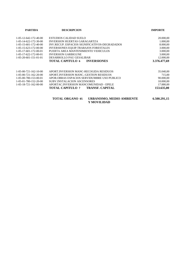| <b>PARTIDA</b>                         | <b>DESCRIPCION</b>                                         | <b>IMPORTE</b> |
|----------------------------------------|------------------------------------------------------------|----------------|
| 1-05-12-642-172-40-00                  | ESTUDIOS CALIDAD SUELO                                     | 20.000,00      |
| $1-05-14-622-172-30-00$                | <b>INVERSION HUERTAS GARAGARTZA</b>                        | 1.000,00       |
| $1-05-15-601-172-40-00$                | INV.RECUP. ESPACIOS SIGNIFICATIVOS-DEGRADADOS              | 8.000,00       |
| 1-05-15-623-172-00-00                  | <b>INVERSIONES EQUIP.TRABAJOS FORESTALES</b>               | 3.000,00       |
| 1-05-17-601-172-00-01                  | PUERTA AREA MANTENIMIENTO VEHICULOS                        | 3.000,00       |
| 1-05-17-622-172-00-01                  | <b>INVERSION GARBIGUNE</b>                                 | 3.000,00       |
| $1-05-20-601-151-01-01$                | DESARROLLO PAU GESALIBAR                                   | 12.000,00      |
|                                        | <b>TOTAL CAPITULO 6</b><br><b>INVERSIONES</b>              | 3.376.477,69   |
|                                        |                                                            |                |
| $1 - 0.5 - 0.0 - 721 - 162 - 10 - 0.0$ | APORT INVERSION MANC-RECOGIDA RESIDUOS                     | 35.040,00      |
| $1-05-00-721-162-20-00$                | APORT. INVERSION MANC. - GESTION RESIDUOS                  | 715,00         |
| 1-05-00-780-153-00-01                  | APOR OBRAS ESPACIOS SERVIDUMBRE USO PUBLICO                | 90.000,00      |
| 1-05-01-780-152-20-00                  | <b>SUBV.INSTALACION ASCENSORES</b>                         | 10.000,00      |
| $1 - 0.5 - 18 - 721 - 162 - 00 - 00$   | APORTAC.INVERSION MANCOMUNIDAD - EPELE                     | 17.880,00      |
|                                        | TOTAL CAPITULO 7<br><b>TRANSF. CAPITAL</b>                 | 153.635,00     |
|                                        | <b>TOTAL ORGANO 05</b><br><b>URBANISMO, MEDIO AMBIENTE</b> | 6.500.291.15   |

**Y MOVILIDAD**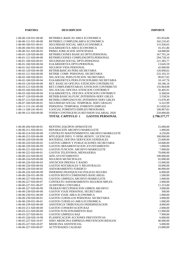| <b>PARTIDA</b>                                 | <b>DESCRIPCION</b>                                                      | <b>IMPORTE</b>           |  |
|------------------------------------------------|-------------------------------------------------------------------------|--------------------------|--|
|                                                |                                                                         |                          |  |
| 1-06-00-120-931-00-00                          | RETRIBUC.BáSICAS AREA ECONOMICA                                         | 181.054,86               |  |
| 1-06-00-121-931-00-00                          | RETRIBUC.COMPLEM.AREA ECONOMICA                                         | 342.210,45               |  |
| 1-06-00-160-931-00-01                          | SEGURIDAD SOCIAL AREA ECONOMICA                                         | 131.036,65               |  |
| 1-06-00-160-931-00-04                          | ELKARKIDETZA AREA ECONOMICA                                             | 16.351,86                |  |
| 1-06-00-161-920-00-03                          | PRIMA JUBILACION ANTICIPADA                                             | 64.000,00                |  |
| 1-06-01-120-920-00-00                          | RETRIBUCIONES BASICAS DPTO.PERSONAL                                     | 167.701,24               |  |
| 1-06-01-121-920-00-00                          | RETRIBUCIONES COMPLEM.DPTO.PERSONAL                                     | 294.728,10               |  |
| 1-06-01-160-920-00-01                          | SEGURIDAD SOCIAL DPTO.PERSONAL                                          | 121.385,77               |  |
| 1-06-01-160-920-00-04                          | ELKARKIDETZA DPTO.PERSONAL                                              | 13.645,59                |  |
| 1-06-01-162-920-00-05                          | <b>SEGUROS VIDA PERSONAL</b>                                            | 42.000,00                |  |
| 1-06-02-120-920-00-00                          | RETRIB.BáSICAS PERS.SECRETARIA                                          | 126.690,62               |  |
| 1-06-02-121-920-00-00                          | RETRIB. COMP. PERSONAL SECRETARIA                                       | 232.102,33               |  |
| 1-06-02-160-920-00-01                          | SEG.SOCIAL PERS.FUNCION. SECRETARIA                                     | 90.817,02                |  |
| 1-06-02-160-920-00-04                          | ELKARKIDETZA PERS.FUNCIONARIO SECRETARIA                                | 10.147,76                |  |
| 1-06-03-120-920-00-00                          | RET. BASICAS OFICINA ATENCIÓN CONTRIBUYE                                | 69.186,18                |  |
| 1-06-03-121-920-00-00                          | RET.COMPLEMENTARIAS ATENCION CONTRIBUYE                                 | 135.964,98               |  |
| 1-06-03-160-920-00-01                          | <b>SEG.SOCIAL OFICINA ATENCION CONTRIBUY</b>                            | 56.405,91                |  |
| 1-06-03-160-920-00-04                          | ELKARKIDETZA. OFICINA ATENCION CONTRIBUY                                | 6.368,04                 |  |
| 1-06-07-120-920-00-00                          | RETRIB.BASICAS.FUNC.INTERINOS-SERV.GRLES                                | 5.558,56                 |  |
| 1-06-07-121-920-00-00                          | RETRIB.COMPLEM.FUNC.INTERINOS SERV.GRLES                                | 15.070,49                |  |
| 1-06-07-160-920-00-01                          | SEGURIDAD SOCIAL TEMPORAL SERV.GRALES                                   | 6.322,99                 |  |
| 1-06-11-131-241-00-00                          | PERSONAL TEMPORAL FOMENTO EMPLEO                                        | 311.820,54               |  |
| 1-06-11-160-241-00-01                          | S.SOCIAL FOMENTO EMPLEO PROGRAMA                                        | 106.007,83<br>250.000,00 |  |
| 1-06-99-121-920-00-00                          | FONDO CONTINGENCIA REVISION SALARIAL 2020<br><b>TOTAL CAPITULO 1</b>    |                          |  |
|                                                | <b>GASTOS PERSONAL</b>                                                  | 2.796.577,77             |  |
| 1-06-00-204-920-00-01                          | RENTING EQUIPOS OFIMATICOS                                              | 25.000,00                |  |
| 1-06-00-211-920-00-01                          | REPARACION ARCHIVO MARKULETE                                            | 1.000,00                 |  |
| 1-06-00-214-920-00-00                          | CONTRATO MANTENIMIENTO ARCHIVO MARKULETE                                | 4.250,00                 |  |
| 1-06-00-215-920-00-00                          | MTO.EQUIP.INFO. Y OFIM.-RENOV. LICENCIAS                                | 100.000,00               |  |
| 1-06-00-220-920-00-00                          | MATERIAL OFICINA SERVICIOS GENERALES                                    | 25.000,00                |  |
| 1-06-00-220-920-00-02                          | GASTOS LIBROS Y PUBLICACIONES SECRETARIA                                | 10.000,00                |  |
| 1-06-00-220-920-00-99                          | GASTOS ORNAMENTACION AYUNTAMIENTO                                       | 1.000,00                 |  |
| 1-06-00-221-920-00-01                          | GASTOS FUNCION. ARCHIVO MARKULETE                                       | 7.000,00                 |  |
| 1-06-00-222-920-00-01                          | GASTOS TELEFONOS, MENSAJERIA                                            | 70.000,00                |  |
| 1-06-00-222-920-00-05                          | IZFE-AYUNTAMIENTO                                                       | 190.000,00               |  |
| 1-06-00-224-920-00-00                          | <b>SEGUROS MUNICIPALES</b>                                              | 92.000,00                |  |
| 1-06-00-226-920-00-03                          | ANUNCIOS PRENSA Y RADIO                                                 | 15.000,00                |  |
| 1-06-00-226-920-00-04                          | <b>GASTOS NOTARIALES Y REGISTRALES</b>                                  | 10.000,00                |  |
| 1-06-00-226-920-00-05                          | ASESORAMIENTO JURIDICO                                                  | 40.000,00                |  |
| 1-06-00-226-920-00-99                          | INDEMNIZ.FRANQUICIAS POLIZAS SEGURO                                     | 6.000,00                 |  |
| 1-06-00-226-931-00-99                          | GASTOS RESTO COMISIONES BANCARIAS                                       | 1.500,00                 |  |
| 1-06-00-227-920-00-01                          | <b>GASTOS LIMPIEZA ARCHIVO MARKULETE</b>                                | 1.000,00                 |  |
| 1-06-00-227-920-00-07                          | CONTRATO ASESORAMIENTO SEGUROS MPLES.                                   | 2.000,00                 |  |
| 1-06-00-227-931-00-07                          | <b>AUDITORIA CONTABLE</b>                                               | 11.253,00<br>3.000,00    |  |
| 1-06-00-227-920-00-99<br>1-06-00-230-920-00-00 | TRABAJO RECUPERACION LIBROS ARCHIVO<br>GASTOS VIAJE PERSONAL SECRETARIA | 500,00                   |  |
| 1-06-00-230-931-00-00                          | <b>GASTOS VIAJE AREA ECONOMICA</b>                                      | 1.000,00                 |  |
| 1-06-00-230-920-00-01                          | GASTOS CURSILLOS PERSONAL SECRETARIA                                    | 3.000,00                 |  |
| 1-06-00-230-931-00-01                          | <b>GASTOS CURSILLO AREA ECONOMICA</b>                                   | 1.000,00                 |  |
| 1-06-00-239-920-00-00                          | ASISTENCIA TRIBUNALES-INDEMNIZACION                                     | 4.000,00                 |  |
| 1-06-03-211-920-00-00                          | <b>GASTOS CONSERVACION BAZ</b>                                          | 2.000,00                 |  |
| 1-06-03-221-920-00-00                          | <b>GASTOS FUNCIONAMIENTO BAZ</b>                                        | 11.000,00                |  |
| 1-06-03-227-920-00-01                          | <b>GASTOS LIMPIEZA BAZ</b>                                              | 7.900,00                 |  |
| 1-06-05-226-920-10-99                          | PLANIFICACION ACCIONES PREVENTIVAS                                      | 6.000,00                 |  |
| 1-06-05-227-920-10-07                          | SERV.MEDICINA EMPRESA-PREVENCION RIESGOS                                | 46.000,00                |  |
| 1-06-05-227-920-20-07                          | MEDICINA ASISTENCIAL                                                    | 5.000,00                 |  |
| 1-06-06-227-920-00-07                          | <b>ACTIVIDADES CALIDAD</b>                                              | 15.000,00                |  |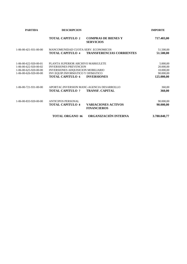| <b>PARTIDA</b>                                                                                   | <b>DESCRIPCION</b>                                                                                                                                                       |                                                                     | <b>IMPORTE</b>                                                |
|--------------------------------------------------------------------------------------------------|--------------------------------------------------------------------------------------------------------------------------------------------------------------------------|---------------------------------------------------------------------|---------------------------------------------------------------|
|                                                                                                  | <b>TOTAL CAPITULO 2</b>                                                                                                                                                  | <b>COMPRAS DE BIENES Y</b><br><b>SERVICIOS</b>                      | 717.403,00                                                    |
| 1-06-00-421-931-00-00                                                                            | MANCOMUNIDAD CUOTA SERV. ECONOMICOS<br><b>TOTAL CAPITULO 4</b>                                                                                                           | <b>TRANSFERENCIAS CORRIENTES</b>                                    | 51.500,00<br>51.500,00                                        |
| 1-06-00-622-920-00-01<br>1-06-00-622-920-00-02<br>1-06-00-625-920-00-00<br>1-06-00-626-920-00-00 | PLANTA SUPERIOR ARCHIVO MARKULETE<br><b>INVERSIONES PREVENCION</b><br>INVERSIONES ADQUISICION MOBILIARIO<br>INV.EQUIP.INFORMATICO Y OFIMATICO<br><b>TOTAL CAPITULO 6</b> | <b>INVERSIONES</b>                                                  | 5.000,00<br>20.000,00<br>10.000,00<br>90.000,00<br>125.000,00 |
| $1 - 06 - 00 - 721 - 931 - 00 - 00$                                                              | <b>TOTAL CAPITULO 7</b>                                                                                                                                                  | APORTAC.INVERSION MANC-AGENCIA DESARROLLO<br><b>TRANSF. CAPITAL</b> | 360,00<br>360,00                                              |
| 1-06-00-833-920-00-00                                                                            | <b>ANTICIPOS PERSONAL</b><br><b>TOTAL CAPITULO 8</b>                                                                                                                     | <b>VARIACIONES ACTIVOS</b><br><b>FINANCIEROS</b>                    | 90.000,00<br>90.000,00                                        |
|                                                                                                  | <b>TOTAL ORGANO 06</b>                                                                                                                                                   | ORGANIZACIÓN INTERNA                                                | 3.780.840,77                                                  |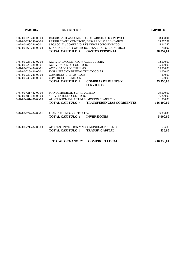| <b>PARTIDA</b>                                   | <b>DESCRIPCION</b>                                                       | <b>IMPORTE</b>   |  |
|--------------------------------------------------|--------------------------------------------------------------------------|------------------|--|
| 1-07-00-120-241-00-00                            | RETRIB.BASICAS COMERCIO, DESARROLLO ECONOMICO                            | 8.438,01         |  |
| 1-07-00-121-241-00-00                            | RETRIB.COMPL COMERCIO, DESARROLLO ECONOMICO                              | 13.777,51        |  |
| 1-07-00-160-241-00-01                            | SEG.SOCIAL: COMERCIO, DESARROLLO ECONOMICO                               | 5.917,52         |  |
| 1-07-00-160-241-00-04                            | ELKARKIDETZA: COMERCIO, DESARROLLO ECONOMICO                             | 718,97           |  |
|                                                  | <b>TOTAL CAPITULO 1</b><br><b>GASTOS PERSONAL</b>                        | 28.852,01        |  |
|                                                  |                                                                          |                  |  |
| 1-07-00-226-322-02-00                            | ACTIVIDAD COMERCIO Y AGRICULTURA                                         | 13.000,00        |  |
| 1-07-00-226-431-00-01                            | <b>ACTIVIDADES DE COMERCIO</b>                                           | 15.000,00        |  |
| 1-07-00-226-432-00-01                            | <b>ACTIVIDADES DE TURISMO</b>                                            | 15.000,00        |  |
| $1-07-00-226-491-00-01$                          | <b>IMPLANTACION NUEVAS TECNOLOGIAS</b><br><b>COMERCIO - GASTOS VIAJE</b> | 12.000,00        |  |
| 1-07-00-230-241-00-00<br>$1-07-00-230-241-00-01$ | <b>COMERCIO- CURSILLOS</b>                                               | 250,00<br>500,00 |  |
|                                                  | <b>TOTAL CAPITULO 2</b><br><b>COMPRAS DE BIENES Y</b>                    |                  |  |
|                                                  |                                                                          | 55.750,00        |  |
|                                                  | <b>SERVICIOS</b>                                                         |                  |  |
| 1-07-00-421-432-00-00                            | MANCOMUNIDAD-SERV.TURISMO                                                | 79.000,00        |  |
| 1-07-00-480-431-00-00                            | <b>SUBVENCIONES COMERCIO</b>                                             | 16.200,00        |  |
| 1-07-00-481-431-00-00                            | APORTACION IBAIARTE-PROMOCION COMERCIO                                   | 31.000,00        |  |
|                                                  | <b>TOTAL CAPITULO 4</b><br><b>TRANSFERENCIAS CORRIENTES</b>              | 126.200,00       |  |
| 1-07-00-627-432-00-01                            | PLAN TURISMO COOPERATIVO                                                 | 5.000,00         |  |
|                                                  | <b>TOTAL CAPITULO 6</b><br><b>INVERSIONES</b>                            | 5.000,00         |  |
|                                                  |                                                                          |                  |  |
| 1-07-00-721-432-00-00                            | APORTAC.INVERSION MANCOMUNIDAD-TURISMO                                   | 536,00           |  |
|                                                  | <b>TOTAL CAPITULO 7</b><br><b>TRANSF. CAPITAL</b>                        | 536,00           |  |
|                                                  | <b>COMERCIO LOCAL</b><br><b>TOTAL ORGANO 07</b>                          | 216.338.01       |  |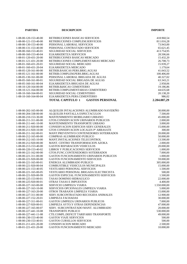| <b>PARTIDA</b>                                   | <b>DESCRIPCION</b>                                                         | <b>IMPORTE</b>           |
|--------------------------------------------------|----------------------------------------------------------------------------|--------------------------|
|                                                  |                                                                            |                          |
| 1-08-00-120-153-40-00                            | RETRIBUCIONES BASICAS SERVICIOS                                            | 418.960,54               |
| 1-08-00-121-153-40-00                            | RETRIBUCIONES COMPLEM.SERVICIOS                                            | 811.016,28               |
| 1-08-00-130-153-40-00                            | PERSONAL LABORAL SERVICIOS                                                 | 73.943,00                |
| 1-08-00-131-153-40-00                            | PERSONAL CONTRATADO SERVICIOS                                              | 65.621,45                |
| 1-08-00-160-153-40-01                            | SEGURIDAD SOCIAL SERVICIOS                                                 | 413.754,95               |
| 1-08-00-160-153-40-04                            | ELKARKIDETZA SERVICIOS                                                     | 28.506,66                |
| 1-08-01-120-431-20-00                            | RETRIBUCIONES BASICAS MERCADO                                              | 15.432,20                |
| 1-08-01-121-431-20-00                            | RETRIBUCIONES COMPLEMENTARIAS MERCADO                                      | 26.708,73                |
| 1-08-01-160-431-20-01                            | SEGURIDAD SOCIAL MERCADO                                                   | 15.939,27                |
| 1-08-01-160-431-20-04                            | ELKARKIDETZA MERCADO                                                       | 1.179,64                 |
| 1-08-05-120-161-00-00                            | RETRIB.BASICAS PERS.BRIG.AGUAS                                             | 41.043,52                |
| 1-08-05-121-161-00-00                            | RETRIB.COMPLEM.PERS.BRIG.AGUAS                                             | 100.406,00               |
| 1-08-05-130-161-00-00                            | PERSONAL LABORAL BRIGADA DE AGUAS                                          | 40.327,02                |
| 1-08-05-160-161-00-01                            | SEGURIDAD SOCIAL BRIGADA DE AGUAS                                          | 63.343,21                |
| 1-08-05-160-161-00-04                            | ELKARKIDETZA BRIGADA DE AGUAS                                              | 2.958,06                 |
| 1-08-10-120-164-00-00                            | RETRIB.BáSICAS CEMENTERIO                                                  | 19.186,86                |
| 1-08-10-121-164-00-00                            | RETRIB.COMPLEMENTARIAS CEMENTERIO                                          | 44.635,68                |
| 1-08-10-160-164-00-01                            | SEGURIDAD SOCIAL CEMENTERIO                                                | 20.138,20                |
| 1-08-10-160-164-00-04                            | ELKARKIDETZA PERS.CEMENTERIO                                               | 986,02                   |
|                                                  | <b>TOTAL CAPITULO 1</b><br><b>GASTOS PERSONAL</b>                          | 2.204.087,29             |
|                                                  |                                                                            |                          |
| $1-08-00-202-165-00-00$<br>1-08-00-204-338-00-00 | ALQUILER INTALACIONES ALUMBRADO NAVIDEÑO<br>ALQUILER PANTALLA ESPECTACULOS | 30.000,00<br>7.500,00    |
| 1-08-00-210-153-30-00                            | MANTENIMIENTO MOBILIARIO URBANO                                            | 45.000,00                |
| 1-08-00-211-311-00-00                            | GTOS.CONSERVACION URINARIOS PUBLICOS                                       | 2.000,00                 |
| 1-08-00-211-441-10-00                            | MANTENIMIENTO TRANSPORTE URBANO                                            | 3.000,00                 |
| 1-08-00-211-920-00-00                            | CONSERVACION EDIFICIOS SERV.GENERALES                                      | 15.000,00                |
| 1-08-00-211-920-10-00                            | GTOS CONSERVACION LOCALES Pº ARRASATE                                      | 300,00                   |
| 1-08-00-211-162-00-01                            | MANT.PREVENTIVO CONTENEDORES SOTERRADOS                                    | 20.000,00                |
| 1-08-00-212-165-00-00                            | COMPRAS ALUMBRADO PUBLICO                                                  | 50.000,00                |
| 1-08-00-212-165-10-00                            | MANT.INSTALACIONES TELECONTROL                                             | 13.500,00                |
| 1-08-00-212-920-00-00                            | MANT. CENTRO TRANSFORMACION AZOKA                                          | 2.000,00                 |
| 1-08-00-213-153-40-00                            | <b>GASTOS REPARACION VEHICULOS</b>                                         | 20.000,00                |
| 1-08-00-220-153-40-02                            | LIBROS Y PUBLICACIONES SERVICIOS                                           | 1.000,00                 |
| 1-08-00-221-162-00-00                            | GTOS.FUNC.CONTENEDORES SOTERRADOS                                          | 7.000,00                 |
| 1-08-00-221-311-00-00                            | <b>GASTOS FUNCIONAMIENTO URINARIOS PUBLICOS</b>                            | 1.000,00                 |
| 1-08-00-221-920-00-00                            | <b>GASTOS FUNCIONAMIENTO SERVICIOS</b>                                     | 59.000,00                |
| 1-08-00-221-165-00-01                            | ENERGIA ALUMBRADO PUBLICO                                                  | 305.000,00               |
| 1-08-00-221-920-00-04                            | COMBUSTIBLE VEHICULOS MUNICIPALES                                          | 15.000,00                |
| 1-08-00-221-153-40-05                            | VESTUARIO PERSONAL SERVICIOS                                               | 1.500,00                 |
| 1-08-00-221-165-00-05                            | VESTUARIO PERSONAL BRIGADA ELECTRICISTA                                    | 500,00                   |
| 1-08-00-221-920-00-99                            | GASTOS ESPECIAL FUNCIONAMIENTO SERVICIOS                                   | 1.500,00                 |
| 1-08-00-225-153-00-01                            | TASAS DOMINIO HIDRAULICO                                                   | 22.000,00                |
| 1-08-00-225-920-00-01<br>1-08-00-227-163-00-00   | OTRAS TASAS E IMPUESTOS<br>SERVICIO LIMPIEZA VIARIA                        | 4.400,00<br>1.550.000,00 |
| 1-08-00-227-163-10-00                            | SERVICIOS OPCIONALES LIMPIEZA VIARIA                                       | 5.000,00                 |
| 1-08-00-227-163-20-00                            | OTROS TRABAJOS LIMPIEZA VIARIA                                             | 15.000,00                |
| 1-08-00-227-311-00-00                            | SERV.SUBCONTRATADO RECOGIDA ANIMALES                                       | 12.900,00                |
| 1-08-00-227-152-20-01                            | LIMPIEZA FACHADAS                                                          | 30.000,00                |
| 1-08-00-227-311-00-01                            | <b>GASTOS LIMPIEZA URINARIOS PUBLICOS</b>                                  | 7.000,00                 |
| 1-08-00-227-920-00-01                            | LIMPIEZA AYTO.Y OTRAS DEPENDENCIAS                                         | 47.000,00                |
| 1-08-00-227-165-00-07                            | SERV. SUBCONTRATADO MANT. ALUMBRADO                                        | 20.000,00                |
| 1-08-00-227-441-10-08                            | <b>TRANSPORTE PUBLICO</b>                                                  | 530.000,00               |
| 1-08-00-227-441-11-08                            | CTE.COMPL.DEFICIT TARIFARIO TRANSPORTE                                     | 49.000,00                |
| 1-08-00-230-153-40-00                            | <b>GASTOS VIAJE SERVICIOS</b>                                              | 500,00                   |
| 1-08-00-230-153-40-01                            | <b>GASTOS CURSILLOS SERVICIOS</b>                                          | 500,00                   |
| 1-08-01-211-431-20-00                            | <b>CONSERVACION MERCADO</b>                                                | 2.500,00                 |
| 1-08-01-221-431-20-00                            | GASTOS FUNCIONAMIENTO MERCADO                                              | 10.000,00                |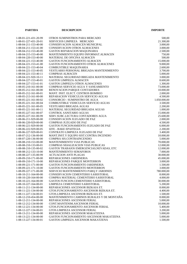| <b>PARTIDA</b>          | <b>DESCRIPCION</b>                         | <b>IMPORTE</b> |
|-------------------------|--------------------------------------------|----------------|
| 1-08-01-221-431-20-99   | OTROS SUMINISTROS PARA MERCADO             | 500,00         |
| 1-08-01-227-431-20-01   | SERVICIOS LIMPIEZA MERCADO                 | 21.300,00      |
| 1-08-04-211-153-40-00   | CONSERVACION ALMACEN MUNICIPAL             | 3.000,00       |
| $1-08-04-211-153-41-00$ | CONSERVACION OTROS ALMACENES               | 3.000,00       |
| 1-08-04-212-153-40-00   | <b>GASTOS REPARACION MAQUINARIA</b>        | 2.500,00       |
| 1-08-04-215-153-40-00   | MANTENIMIENTO EQUIPO INFORMAT.ALMACEN      | 750,00         |
| 1-08-04-220-153-40-00   | MATERIAL DE OFICINA ALMACEN                | 500,00         |
| 1-08-04-221-153-40-00   | <b>GASTOS FUNCIONAMIENTO ALMACEN</b>       | 15.000,00      |
| $1-08-04-221-153-41-00$ | GASTOS FUNCIONAMIENTO OTROS ALMACENES      | 9.000,00       |
| 1-08-04-221-153-40-04   | COMBUSTIBLE MAQUINARIA                     | 2.600,00       |
| 1-08-04-221-153-40-05   | VESTUARIO PERSONAL BRIGADA MANTENIMIENTO   | 3.700,00       |
| $1-08-04-221-153-40-11$ | <b>COMPRAS ALMACEN</b>                     | 5.000,00       |
| 1-08-04-221-920-10-11   | MATERIAL SEGURIDAD BRIGADA MANTENIMIENTO   | 3.000,00       |
| 1-08-04-227-153-40-01   | <b>GASTOS LIMPIEZA ALMACEN</b>             | 8.600,00       |
| 1-08-04-227-153-41-01   | <b>GASTOS LIMPIEZA OTROS ALMACENES</b>     | 1.300,00       |
| 1-08-05-210-161-00-00   | COMPRAS SERVICIO AGUA Y SANEAMIENTO        | 73.000,00      |
| 1-08-05-212-161-00-00   | RENOVACION PARQUE CONTADORES               | 10.000,00      |
| 1-08-05-212-161-00-01   | MANT. INST. ELECT. CENTROS BOMBEO          | 2.000,00       |
| 1-08-05-213-161-00-00   | REPARACION VEHICULOS SERVICIO AGUAS        | 4.500,00       |
| 1-08-05-221-161-00-02   | CONSORCIO - SUMINISTRO DE AGUA             | 1.050.000,00   |
| 1-08-05-221-161-00-04   | COMBUSTIBLE VEHICULOS SERVICIO AGUAS       | 3.500,00       |
| 1-08-05-221-161-00-05   | <b>VESTUARIO BRIGADA AGUAS</b>             | 2.200,00       |
| 1-08-05-221-161-00-11   | MATERIAL SEGURIDAD BRIGADA AGUAS           | 1.000,00       |
| 1-08-05-227-161-00-07   | CONTROL SANITARIO AGUAS                    | 15.000,00      |
| 1-08-05-227-161-00-99   | SERV.SUBC.LECTURA CONTADORES AGUA          | 25.600,00      |
| 1-08-06-211-929-00-00   | CONSERVACION JUZGADO DE PAZ                | 2.000,00       |
| 1-08-06-220-929-00-00   | COMPRAS JUZGADO DE PAZ                     | 4.500,00       |
| 1-08-06-221-929-00-00   | GASTOS FUNCIONAMIENTO JUZGADO DE PAZ       | 6.000,00       |
| 1-08-06-222-929-00-05   | IZFE - BAKE EPAITEGIA                      | 2.200,00       |
| 1-08-06-227-929-00-01   | CONTRATO LIMPIEZA JUZGADO DE PAZ           | 3.400,00       |
| 1-08-07-212-136-00-00   | MANT.INST.Y EQUIPO SIST.CONTRA INCENDIO    | 10.000,00      |
| 1-08-07-220-136-00-00   | COMPRA SIS.CONTRAINCENDIO                  | 5.000,00       |
| 1-08-08-210-153-00-00   | <b>MANTENIMIENTO VIAS PUBLICAS</b>         | 70.000,00      |
| 1-08-08-210-133-00-01   | COMPRAS SEñALIZACION VIAS PUBLICAS         | 12.000,00      |
| 1-08-08-210-135-00-02   | GASTOS TRABAJOS EMERGENCIAS, NEVADAS, ETC  | 12.000,00      |
| 1-08-08-212-133-10-00   | MANTENIMIENTO SEMAFOROS                    | 7.000,00       |
| 1-08-08-227-135-00-99   | <b>ACTUACION ANTI PLAGAS</b>               | 30.000,00      |
| 1-08-09-210-171-00-00   | REPARACIONES JARDINERIA                    | 45.000,00      |
| 1-08-09-210-171-10-00   | REPARACIONES PARQUE MONTERRON              | 3.000,00       |
| 1-08-09-221-171-00-00   | GASTOS FUNCIONAMIENTO JARDINERIA           | 1.500,00       |
| $1-08-09-221-171-10-00$ | GASTOS FUNCIONAMIENTO MONTERRON            | 3.000,00       |
| 1-08-09-227-171-00-00   | SERVICIO MANTENIMIENTO PARQ.Y JARDINES     | 780.000,00     |
| $1-08-10-211-164-00-00$ | CONSERVACION CEMENTERIO S.KRISTOBAL        | 8.000,00       |
| 1-08-10-220-164-00-00   | COMPRA MATERIAL CEMENTERIO S.KRISTOBAL     | 4.000,00       |
| 1-08-10-221-164-00-00   | GASTOS FUNCION.CEMENTERIO S.KRISTOBAL      | 30.000,00      |
| 1-08-10-227-164-00-01   | LIMPIEZA CEMENTERIO S.KRISTOBAL            | 5.200,00       |
| 1-08-11-211-134-00-00   | REPARACIONES ASCENSOR BIZKAIA ET.          | 8.000,00       |
| 1-08-11-221-134-00-00   | GTOS.FUNCIONAMIENTO ASCENSOR BIZKAIA ET.   | 4.400,00       |
| 1-08-11-227-134-00-01   | GTOS.LIMPIEZA ASCENSOR BIZKAIA ET.         | 1.500,00       |
| 1-08-12-210-454-00-00   | MANTENIMIENTO CAMINOS RURALES Y DE MONTAÑA | 8.000,00       |
| 1-08-12-211-134-00-00   | REPARACIONES ASCENSOR FERIAL               | 5.000,00       |
| 1-08-12-212-134-00-00   | CONT.MANTENIM.ASCENSOR FERIAL              | 10.000,00      |
| 1-08-12-221-134-00-00   | GTOS.FUNCIONAMIENTO ASCENSOR FERIAL        | 5.400,00       |
| 1-08-12-227-134-00-01   | GTOS.LIMPIEZA ASCENSOR FERIAL              | 3.200,00       |
| 1-08-13-211-134-00-00   | REPARACIONES ASCENSOR MAKATZENA            | 5.000,00       |
| 1-08-13-221-134-00-00   | GASTOS FUNCIONAMIENTO ASCENSOR MAKATZENA   | 5.000,00       |
| 1-08-13-227-134-00-01   | GASTOS LIMPIEZA ASCENSOR MAKATZENA         | 1.500,00       |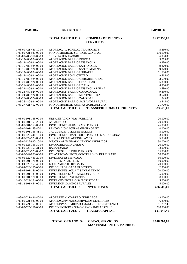**PARTIDA DESCRIPCION IMPORTE**

## **TOTAL CAPITULO 2 COMPRAS DE BIENES Y 5.272.950,00 SERVICIOS**

| $1-08-00-421-441-10-00$ | APORTAC. AUTORIDAD TRANSPORTE                               | 5.850,00     |
|-------------------------|-------------------------------------------------------------|--------------|
| 1-08-00-421-920-00-00   | MANCOMUNIDAD-SERVICIO GENERAL                               | 210.100,00   |
| 1-08-00-480-311-00-00   | <b>SUBVENCION KAONBI</b>                                    | 6.000,00     |
| 1-08-13-480-924-00-00   | APORTACION BARRIO BEDOñA                                    | 5.775,00     |
| 1-08-14-480-924-00-00   | APORTACION BARRIO MUSAKOLA                                  | 8.880,00     |
| 1-08-15-480-924-00-00   | APORTACION BARRIO SAN ANDRES                                | 9.870,00     |
| 1-08-16-480-924-00-00   | APORTACION BARRIO SANTA MARINA                              | 9.870,00     |
| 1-08-17-480-924-00-00   | APORTACION BARRIO URIBARRI                                  | 11.630,00    |
| 1-08-18-480-924-00-00   | APORTACION ZONA CENTRO                                      | 9.565,00     |
| 1-08-19-480-924-00-00   | APORTACION BARRIO URIBARRI RURAL                            | 3.500,00     |
| 1-08-20-480-924-00-00   | APORTACION BARRIO GESALIBAR                                 | 6.360,00     |
| 1-08-21-480-924-00-00   | APORTACION BARRIO UDALA                                     | 4.800,00     |
| 1-08-22-480-924-00-00   | APORTACION BARRIO MUSAKOLA RURAL                            | 2.680,00     |
| 1-08-23-480-924-00-00   | APORTACION BARRIO GARAGARZA                                 | 9.850,00     |
| 1-08-24-480-924-00-00   | APORTACION BARRIO MEATZERREKA                               | 3.620,00     |
| 1-08-25-480-924-00-00   | APORTACION BARRIO ZALDIBAR                                  | 1.025,00     |
| 1-08-26-480-924-00-00   | APORTACION BARRIO SAN ANDRES RURAL                          | 2.545,00     |
| 1-08-27-421-412-00-00   | MANCOMUNIDAD-CUOTAS AGRICULTURA                             | 21.700,00    |
|                         |                                                             |              |
|                         | <b>TOTAL CAPITULO 4</b><br><b>TRANSFERENCIAS CORRIENTES</b> | 333.620,00   |
| $1-08-00-601-153-00-00$ | URBANIZACION VIAS PUBLICAS                                  | 20.000,00    |
| 1-08-00-601-153-20-00   | <b>ASFALTADOS</b>                                           | 20.000,00    |
| 1-08-00-601-165-00-00   | <b>INVERSIONES ALUMBRADO PUBLICO</b>                        | 45.000,00    |
| 1-08-00-601-153-40-01   | RENOVACION ACERAS GIPUZKOA ET.                              | 10.000,00    |
| 1-08-00-601-153-41-01   | TALUD SANTA TERESA-AGERRE                                   | 5.000,00     |
| 1-08-00-622-441-10-00   | INVERSIONES TRANSPORTE PUBLICO-MARQUESINAS                  |              |
|                         |                                                             | 13.000,00    |
| 1-08-00-622-920-00-00   | MEJORA INSTALACIONES AYTO                                   | 5.000,00     |
| 1-08-00-622-920-10-00   | MEJORA ALUMBRADO CENTROS PUBLICOS                           | 50.000,00    |
| 1-08-00-623-153-30-00   | <b>INV.MOBILIARIO URBANO</b>                                | 20.000,00    |
| 1-08-00-623-153-31-00   | <b>BARANDADOS</b>                                           | 18.000,00    |
| 1-08-00-623-920-00-02   | INV.SIST.SEGUR.EDIF.PUBLICOS                                | 15.000,00    |
| 1-08-00-642-920-00-00   | ITE AYUNTAMIENTO, MONTERRON Y KULTURATE                     | 50.000,00    |
| 1-08-01-622-431-20-00   | <b>INVERSIONES MERCADO</b>                                  | 50.000,00    |
| 1-08-02-601-171-00-00   | PARQUES INFANTILES                                          | 80.000,00    |
| 1-08-04-623-153-40-00   | EQUIPAMIENTO BRIGADA                                        | 20.000,00    |
| 1-08-04-623-165-00-00   | INV.EQUIP.BRIGADA ELECTRICA                                 | 2.500,00     |
| 1-08-05-601-161-00-00   | INVERSIONES AGUA Y SANEAMIENTO                              | 20.000,00    |
| 1-08-08-601-133-00-00   | INVERSIONES SEÑALIZACION VIARIA                             | 15.000,00    |
| 1-08-09-601-171-00-00   | <b>INVERSIONES JARDINERIA</b>                               | 18.000,00    |
| 1-08-10-622-164-00-00   | <b>INVER.CEMENTERIO SAN CRISTOBAL</b>                       | 5.000,00     |
| 1-08-12-601-454-00-01   | <b>INVERSION CAMINOS RURALES</b>                            | 5.000,00     |
|                         | <b>INVERSIONES</b><br><b>TOTAL CAPITULO 6</b>               | 486.500,00   |
|                         |                                                             |              |
| 1-08-00-721-431-40-00   | APORT.INV.MATADERO ZUBILLAGA                                | 43.000,00    |
| 1-08-00-721-920-00-00   | APORTAC.INV.MANC.SERVICIOS GENERALES                        | 6.250,00     |
| 1-08-00-721-165-00-01   | APORT.INV.ALUMBRADO MANC.-REINT.PRESTAMO                    | 51.797,40    |
| 1-08-05-725-161-00-00   | INV.CONSORCIO AGUAS-CANON INFRAESTRUC.                      | 520.000,00   |
|                         | <b>TOTAL CAPITULO 7</b><br><b>TRANSF. CAPITAL</b>           | 621.047,40   |
|                         |                                                             |              |
|                         | <b>TOTAL ORGANO 08</b><br><b>OBRAS, SERVICIOS,</b>          | 8.918.204,69 |

**MANTENIMIENTO Y BARRIOS**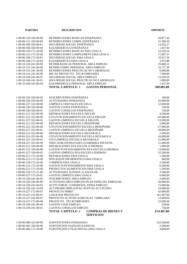| <b>PARTIDA</b>                                 | <b>DESCRIPCION</b>                                                        | <b>IMPORTE</b>         |
|------------------------------------------------|---------------------------------------------------------------------------|------------------------|
| 1-09-00-120-320-00-00                          | RETRIBUCIONES BASICAS ENSEÑANZA                                           | 20.877,36              |
| 1-09-00-121-320-00-00                          | RETRIBUCIONES COMPL.ENSEÑANZA                                             | 31.390,39              |
| 1-09-00-160-320-00-01                          | SEGURIDAD SOCIAL ENSEÑANZA                                                | 14.202,27              |
| 1-09-00-160-320-00-04                          | ELKARKIDETZA ENSEÑANZA                                                    | 1.437,94               |
| 1-09-06-120-172-20-00                          | RETRIBUCIONES BASICAS EMA UDALA                                           | 53.220,16              |
| 1-09-06-121-172-20-00                          | RETRIBUCIONES COMPLEMENT.EMA UDALA                                        | 71.907,57              |
| 1-09-06-160-172-20-01                          | SEGURIDAD SOCIAL EMA UDALA                                                | 33.017,36              |
| 1-09-06-160-172-20-04                          | ELKARKIDETZA EMA UDALA                                                    | 2.875,88               |
| 1-09-10-120-241-00-00                          | RETRIB.BASICAS PERSONAL AREA EMPLEO                                       | 19.468,12              |
| 1-09-10-121-241-00-00                          | RETRIB.COMPL.PERSONAL AREA EMPLEO                                         | 32.717,30              |
| 1-09-10-141-241-30-00                          | RETRIBUCIONES PRACTICAS NO LABORALES                                      | 6.000,00               |
| 1-09-10-141-241-40-00                          | BECAS PROYECTO TEC4COMPANIES                                              | 7.500,00               |
| 1-09-10-160-241-00-01                          | SEGURIDAD SOCIAL AREA EMPLEO                                              | 12.029,59              |
| 1-09-10-160-241-30-01                          | SEGURIDAD SOCIAL PRACTICAS NO LABORALES                                   | 1.000,00               |
| 1-09-10-160-241-00-04                          | ELKARKIDETZA PERSONAL AREA EMPLEO                                         | 1.437,94               |
|                                                | <b>TOTAL CAPITULO 1</b><br><b>GASTOS PERSONAL</b>                         | 309.081,88             |
|                                                |                                                                           |                        |
| 1-09-00-220-320-00-02                          | SUSCRIPCIONES ENSEÑANZA                                                   | 100,00                 |
| 1-09-00-226-320-00-00                          | <b>ACTIVIDADES ENSEñANZA</b>                                              | 42.000,00              |
| 1-09-00-227-323-00-00                          | LIMPIEZA CRISTALES ESCUELA                                                | 12.000,00              |
| 1-09-00-230-320-00-00                          | <b>GASTOS VIAJES ENSEÑANZA</b>                                            | 150,00                 |
| 1-09-00-230-320-00-01                          | GASTOS CURSILLOS ENSEÑANZA                                                | 150,00                 |
| 1-09-01-211-323-00-00                          | REPARACIONES ESCUELA ERGUIN                                               | 4.500,00               |
| 1-09-01-221-323-00-00                          | GTO.FUNCIONAMIENTO ESCUELA ERGUIN                                         | 42.000,00              |
| 1-09-01-227-323-00-01                          | GASTOS LIMPIEZA ESCUELA ERGUIN                                            | 53.000,00              |
| 1-09-02-211-323-00-00<br>1-09-02-221-323-00-00 | REPARACIONES ESCUELA BEDOÑABE<br>GTO.FUNCIONAMIENTO ESCUELA BEDOÑABE      | 5.000,00               |
| 1-09-02-227-323-00-01                          | GASTOS LIMPIEZA ESCUELA BEDOÑABE                                          | 27.000,00<br>58.800,00 |
| 1-09-03-211-323-00-00                          | REPARACIONES ESCUELA MUSAKOLA                                             | 2.500,00               |
| 1-09-03-221-323-00-00                          | GTO.FUNCIONAMIENTO ESCUELA MUSAKOLA                                       | 16.000,00              |
| 1-09-03-227-323-00-01                          | GTO.LIMPIEZA ESCUELA MUSAKOLA                                             | 21.900,00              |
| 1-09-04-227-323-00-99                          | SERV.SUBCONTRATADO GUARDERIA INFANTIL                                     | 21.600,00              |
| 1-09-05-211-326-00-00                          | REPARACIONES EPA-ESCUELA IDIOMAS                                          | 1.000,00               |
| 1-09-05-221-326-00-00                          | GASTOS FUNCIONAMIENTO EPA-ESCUELA IDIOMAS                                 | 13.000,00              |
| 1-09-05-227-326-00-01                          | GASTOS LIMPIEZA EPA-ESCUELA IDIOMAS                                       | 15.500,00              |
| 1-09-06-211-172-20-00                          | REPARACIONES EMA UDALA                                                    | 1.500,00               |
| 1-09-06-215-172-20-00                          | MTO.EQUIP.INFORMATICO EMA UDALA                                           | 600,00                 |
| 1-09-06-220-172-20-00                          | <b>COMPRAS EMA UDALA</b>                                                  | 2.500,00               |
| 1-09-06-221-172-20-00                          | GASTOS FUNCIONAMIENTO EMA UDALA                                           | 6.500,00               |
| 1-09-06-221-172-20-06                          | PRODUCTOS ALIMENTICIOS EMA UDALA                                          | 1.200,00               |
| $1-09-06-226-172-21-00$                        | <b>ACTIVIDADES AGENDA 21-ESCOLAR</b>                                      | 3.500,00               |
| 1-09-06-227-172-20-01                          | <b>GASTOS LIMPIEZA EMA UDALA</b>                                          | 6.000,00               |
| 1-09-10-220-241-00-02                          | <b>SUSCRIPCIONES AREA EMPLEO</b>                                          | 2.000,00               |
| 1-09-10-226-326-00-00                          | ACTIVIDAD. AREA EMPLEO-PLAN ESPECIAL EMPLEAB.                             | 50.000,00              |
| 1-09-10-226-241-00-05                          | ACTIV.FOROS, CONGRESOS, FERIA EMPLEO,                                     | 15.000,00              |
| 1-09-10-226-241-10-99                          | ACT.PROMO.IMPLANTAC.NUEVAS ACT.ECONO.                                     | 10.000,00              |
| 1-09-10-227-172-00-07                          | PROYECTO SHREC                                                            | 42.000,00              |
| 1-09-10-227-231-00-07                          | <b>LAN-R BAI PROYECTO</b>                                                 | 161.487,00             |
| 1-09-10-227-241-00-07                          | PROYECTO ACTIVID.AGRICOLAS "ARBIGARA"                                     | 13.000,00              |
| 1-09-10-227-172-00-08                          | PROYECTO TEC4COMPANIES                                                    | 22.000,00              |
| 1-09-10-230-241-00-00                          | <b>GASTOS VIAJE EMPLEO</b>                                                | 250,00                 |
| 1-09-10-230-241-00-01                          | <b>GASTOS CURSILLOS EMPLEO</b>                                            | 750,00                 |
|                                                | <b>TOTAL CAPITULO 2</b><br><b>COMPRAS DE BIENES Y</b><br><b>SERVICIOS</b> | 674.487,00             |
|                                                |                                                                           |                        |
| 1-09-00-480-323-00-00                          | <b>SUBVENCIONES ENSEñANZA</b>                                             | 163.200,00             |
| $1 - 00 - 00 - 481 - 326 - 00 - 00$            | <b>SURVENCION NAZIOAN KANPUSA</b>                                         | 2.50000                |

1-09-00-481-326-00-00 SUBVENCION NAZIOAN KANPUSA 2.500,00 1-09-06-480-172-20-00 SUBVENCION UTILIZ.INSTAL.EMA UDALA 4.000,00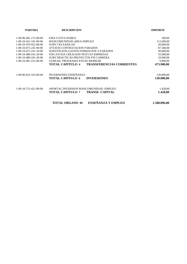| <b>PARTIDA</b>                      | <b>DESCRIPCION</b>                                          | <b>IMPORTE</b> |
|-------------------------------------|-------------------------------------------------------------|----------------|
| $1-09-06-481-172-00-00$             | <b>EMA CUOTA HABEA</b>                                      | 100,00         |
| 1-09-10-421-241-00-00               | MANCOMUNIDAD-AREA EMPLEO                                    | 112.600,00     |
| 1-09-10-470-422-00-00               | SUBV.CEI-SAIOLAN                                            | 20.000,00      |
| 1-09-10-471-241-00-00               | AYUDAS CONTRATACION PARADOS                                 | 87.500,00      |
| $1-09-10-471-241-10-00$             | SUBVENCION GASTOS FORMACION A PARADOS                       | 30.000,00      |
| 1-09-10-480-241-20-00               | FDO.AYUDA CREACION NUEVAS EMPRESAS                          | 35.000,00      |
| $1-09-10-480-241-30-00$             | SUBV.PRACTICAS-PROYECTOS FIN CARRERA                        | 10.000,00      |
| 1-09-10-481-231-00-99               | GUREAK; PROGRAMA PAUSO BERRIAK                              | 9.000,00       |
|                                     | <b>TOTAL CAPITULO 4</b><br><b>TRANSFERENCIAS CORRIENTES</b> | 473.900,00     |
| 1-09-00-622-323-00-00               | <b>INVERSIONES ENSEÑANZA</b>                                | 130.000,00     |
|                                     | <b>TOTAL CAPITULO 6</b><br><b>INVERSIONES</b>               | 130.000,00     |
| $1 - 09 - 10 - 721 - 421 - 00 - 00$ | APORTAC.INVERSION MANCOMUNIDAD - EMPLEO                     | 1.428,00       |
|                                     | <b>TOTAL CAPITULO 7</b><br><b>TRANSF. CAPITAL</b>           | 1.428,00       |
|                                     | ENSEÑANZA Y EMPLEO<br><b>TOTAL ORGANO 09</b>                | 1.588.896,88   |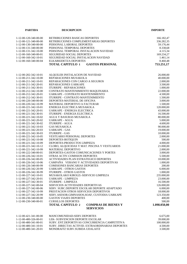| <b>PARTIDA</b>                                                  | <b>DESCRIPCION</b>                                    | <b>IMPORTE</b>     |
|-----------------------------------------------------------------|-------------------------------------------------------|--------------------|
|                                                                 |                                                       |                    |
| 1-12-00-120-340-00-00                                           | RETRIBUCIONES BASICAS DEPORTES                        | 166.182,47         |
| 1-12-00-121-340-00-00<br>RETRIBUCIONES COMPLEMENTARIAS DEPORTES |                                                       | 336.282,35         |
| 1-12-00-130-340-00-00                                           | PERSONAL LABORAL DEPORTES                             | 59.176,44          |
| 1-12-00-131-340-00-00                                           | PERSONAL TEMPORAL DEPORTES                            | 8.338,68           |
| 1-12-00-131-342-10-00                                           | PERSONAL TEMPORAL INSTALACION NAVIDAD                 | 4.115,34           |
| 1-12-00-160-340-00-01                                           | SEGURIDAD SOCIAL DEPORTES                             | 169.234,27         |
| 1-12-00-160-342-10-01                                           | SEGURIDAD SOCIAL INSTALACION NAVIDAD                  | 1.461,14           |
| 1-12-00-160-340-00-04                                           | ELKARKIDETZA DEPORTES                                 | 8.460,48           |
|                                                                 | <b>TOTAL CAPITULO 1</b><br><b>GASTOS PERSONAL</b>     | 753.251,17         |
|                                                                 |                                                       |                    |
| 1-12-00-202-342-10-01                                           | ALQUILER INSTALACION DE NAVIDAD                       | 26.000,00          |
| 1-12-00-211-342-10-00                                           | REPARACIONES MUSAKOLA                                 | 40.000,00          |
| 1-12-00-211-342-10-01                                           | REPARACIONES CON CARGO A SEGUROS                      | 2.000,00           |
| 1-12-00-211-342-20-01                                           | REPARACIONES UARKAPE                                  | 3.500,00           |
| 1-12-00-211-342-30-01                                           | <b>ITURRIPE - REPARACIONES</b>                        | 1.000,00           |
| 1-12-00-212-342-10-00                                           | CONTRATO MANTENIMIENTO MAQUINARIA                     | 22.000,00          |
| 1-12-00-212-342-20-01                                           | UARKAPE - CONTRATO MANTENIMIENTO                      | 4.500,00           |
| 1-12-00-212-342-30-01                                           | ITURRIPE - CONTRATO MANTENIMIENTO                     | 1.500,00           |
| 1-12-00-220-340-00-00                                           | DEPORTES-MATERIAL DE OFICINA                          | 3.000,00           |
| 1-12-00-220-342-10-99                                           | MATERIAL DEPORTIVO A FACTURAR                         | 1.500,00           |
| 1-12-00-221-342-10-01                                           | ENERGIA ELECTRICA MUSAKOLA                            | 120.000,00         |
| 1-12-00-221-342-20-01                                           | <b>UARKAPE - ENERGIA ELECTRICA</b>                    | 43.000,00          |
| 1-12-00-221-342-30-01                                           | <b>ITURRIPE - ENERGIA ELECTRICA</b>                   | 16.500,00          |
| 1-12-00-221-342-10-02                                           | AGUA Y BASURAS MUSAKOLA                               | 80.000,00          |
| 1-12-00-221-342-20-02                                           | <b>UARKAPE - AGUA</b>                                 | 5.000,00           |
| 1-12-00-221-342-30-02                                           | <b>ITURRIPE - AGUA</b>                                | 4.600,00           |
| 1-12-00-221-342-10-03                                           | <b>GAS MUSAKOLA</b>                                   | 90.000,00          |
| 1-12-00-221-342-20-03                                           | <b>UARKAPE - GAS</b>                                  | 19.000,00          |
| 1-12-00-221-342-30-03<br>1-12-00-221-342-10-05                  | <b>ITURRIPE - GAS</b><br>VESTUARIO PERSONAL DEPORTES  | 10.000,00          |
| 1-12-00-221-342-10-08                                           | DEPORTES-BOTIQUIN                                     | 2.000,00<br>500,00 |
| 1-12-00-221-342-10-09                                           | DEPORTES-PRODUCTOS LIMPIEZA                           | 4.000,00           |
| 1-12-00-221-342-10-12                                           | CLORO, ALQUICIDAS Y MAT. PISCINA Y VESTUARIOS         | 21.000,00          |
| 1-12-00-221-342-10-99                                           | MATERIAL DEPORTIVO                                    | 2.000,00           |
| 1-12-00-222-340-00-01                                           | DEPORTES-GASTOS COMUNICACIONES Y PORTES               | 3.000,00           |
| 1-12-00-226-342-10-01                                           | OTRAS ACTIV.COMISION DEPORTES                         | 5.500,00           |
| 1-12-00-226-342-00-05                                           | ACTIVIDADES PLAN ESTRATEGICO DEPORTES                 | 10.000,00          |
| 1-12-00-226-342-10-06                                           | CAMPAÑA VERANO Y ACTIVIDADES DEPORTIVAS               | 1.000,00           |
| 1-12-00-226-340-00-99                                           | COMISIONES BANCARIAS DEPORTES                         | 200,00             |
| 1-12-00-226-342-20-99                                           | <b>UARKAPE - OTROS GASTOS</b>                         | 6.000,00           |
| 1-12-00-226-342-30-99                                           | <b>ITURRIPE - OTROS GASTOS</b>                        | 1.000,00           |
| 1-12-00-227-342-10-01                                           | MUSAKOLAKO KIROLD.-SERVICIO LIMPIEZA                  | 235.000,00         |
| 1-12-00-227-342-20-01                                           | <b>UARKAPE - LIMPIEZA</b>                             | 23.000,00          |
| 1-12-00-227-342-30-01                                           | <b>ITURRIPE - LIMPIEZA</b>                            | 16.500,00          |
| 1-12-00-227-342-00-04                                           | SERVICIOS ACTIVIDADES DEPORTIVAS                      | 126.000.00         |
| 1-12-00-227-342-00-06                                           | SERV. SUBC.DEPORTE ESCOLAR DEPORTE ADAPTADO           | 6.000,00           |
| 1-12-00-227-342-10-99                                           | PRESTACION OTROS SERVICIOS DEPORTIVOS                 | 18.000,00          |
| 1-12-00-227-342-20-99                                           | SERV.ASESOR.GIMNASIOS, SOAF, CUSTODIA UARKAPE         | 123.350,00         |
| 1-12-00-230-340-00-00                                           | <b>GASTOS VIAJES DEPORTES</b>                         | 400,00             |
| 1-12-00-230-340-00-01                                           | <b>CURSILLOS DEPORTES</b>                             | 500,00             |
|                                                                 | <b>TOTAL CAPITULO 2</b><br><b>COMPRAS DE BIENES Y</b> | 1.098.050,00       |
|                                                                 | <b>SERVICIOS</b>                                      |                    |
| 1-12-00-421-341-00-00                                           | MANCOMUNIDAD-SERV.DEPORTES                            | 6.675,00           |
| 1-12-00-480-326-00-01                                           | LEK- SUBVENCION DEPORTE ESCOLAR                       | 39.000,00          |
| 1-12-00-480-341-00-01                                           | SUBV. ENT.DEPORTIVAS CONCURRENCIA CAMPETITIVA         | 100.000,00         |
| 1-12-00-480-341-10-01                                           | SUBV. DIRECTAS ACTIVID. EXTRAORDINARIAS DEPORTES      | 4.500,00           |
| 1-12-00-480-341-20-01                                           | MONDRAITZ SUBV.SUBIDA UDALAITZ                        | 3.500,00           |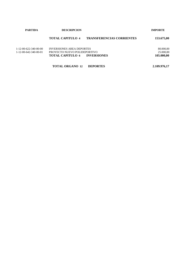| <b>PARTIDA</b>                                               | <b>DESCRIPCION</b>                                                                                                | <b>IMPORTE</b>                                 |
|--------------------------------------------------------------|-------------------------------------------------------------------------------------------------------------------|------------------------------------------------|
|                                                              | <b>TOTAL CAPITULO 4</b>                                                                                           | <b>TRANSFERENCIAS CORRIENTES</b><br>153.675,00 |
| 1-12-00-622-340-00-00<br>$1 - 12 - 00 - 642 - 340 - 00 - 01$ | <b>INVERSIONES AREA DEPORTES</b><br>PROYECTO NUEVO POLIDEPORTIVO<br><b>TOTAL CAPITULO 6</b><br><b>INVERSIONES</b> | 80.000,00<br>25.000,00<br>105.000,00           |

**TOTAL ORGANO 12 DEPORTES 2.109.976,17**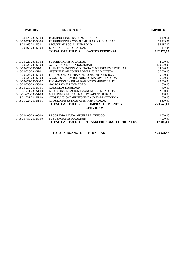| <b>PARTIDA</b>          | <b>DESCRIPCION</b>                                          | <b>IMPORTE</b>         |
|-------------------------|-------------------------------------------------------------|------------------------|
| 1-13-30-120-231-50-00   | RETRIBUCIONES BASICAS IGUALDAD                              | 50.109,64              |
| 1-13-30-121-231-50-00   | RETRIBUCIONES COMPLEMENTARIAS IGUALDAD                      | 75.739,07              |
| 1-13-30-160-231-50-01   | SEGURIDAD SOCIAL IGUALDAD                                   | 35.187,32              |
| 1-13-30-160-231-50-04   | ELKARKIDETZA IGUALDAD                                       | 1.437,94               |
|                         | <b>TOTAL CAPITULO 1</b><br><b>GASTOS PERSONAL</b>           | 162.473,97             |
| 1-13-30-220-231-50-02   | <b>SUSCRIPCIONES IGUALDAD</b>                               |                        |
| 1-13-30-226-231-50-00   | <b>ACTIVIDADES AREA IGUALDAD</b>                            | 2.000,00<br>120.000,00 |
| 1-13-30-226-231-51-01   | PLAN PREVENCION VIOLENCIA MACHISTA EN ESCUELAS              | 34.848,00              |
| 1-13-30-226-231-52-01   | <b>GESTION PLAN CONTRA VIOLENCIA MACHISTA</b>               | 57.000,00              |
| 1-13-30-226-231-50-04   | PROCESO EMPODERAMIENTO MUJER INMIGRANTE                     | 5.500,00               |
| 1-13-30-227-231-50-00   | ANALISIS UBICACION NUEVO EMAKUME TXOKOA                     | 15.000,00              |
| 1-13-30-227-231-50-07   | FORMACION EN IGUALDAD DPTOS MUNICIPALES                     | 20.000,00              |
| 1-13-30-230-231-50-00   | <b>GASTOS VIAJES IGUALDAD</b>                               | 600,00                 |
| 1-13-30-230-231-50-01   | <b>CURSILLOS IGUALDAD</b>                                   | 400,00                 |
| 1-13-31-211-231-51-00   | GTOS.CONSERVACION EMAKUMEAREN TXOKOA                        | 2.000,00               |
| $1-13-31-220-231-51-00$ | MATERIAL OFICINA EMAKUMEAREN TXOKOA                         | 400,00                 |
| 1-13-31-221-231-51-00   | GTOS.FUNCIONAMIENTO EMAKUMEAREN TXOKOA                      | 11.000,00              |
| 1-13-31-227-231-51-01   | GTOS.LIMPIEZA EMAKUMEAREN TXOKOA                            | 4.800,00               |
|                         | <b>TOTAL CAPITULO 2</b><br><b>COMPRAS DE BIENES Y</b>       | 273.548,00             |
|                         | <b>SERVICIOS</b>                                            |                        |
| 1-13-30-480-231-00-00   | PROGRAMA AYUDA MUJERES EN RIESGO                            | 10.000,00              |
| 1-13-30-480-231-50-00   | <b>SUBVENCIONES IGUALDAD</b>                                | 7.000,00               |
|                         | <b>TOTAL CAPITULO 4</b><br><b>TRANSFERENCIAS CORRIENTES</b> | 17.000,00              |

**TOTAL ORGANO 13 IGUALDAD 453.021,97**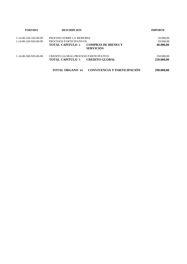| <b>PARTIDA</b>                                 | <b>DESCRIPCION</b>                                                                                                               | <b>IMPORTE</b>                      |  |
|------------------------------------------------|----------------------------------------------------------------------------------------------------------------------------------|-------------------------------------|--|
| 1-14-00-226-326-00-99<br>1-14-00-226-924-00-99 | PROCESO SOBRE LA MEMORIA<br>PROCESOS PARTICIPATIVOS<br><b>COMPRAS DE BIENES Y</b><br><b>TOTAL CAPITULO 2</b><br><b>SERVICIOS</b> | 20.000,00<br>20.000,00<br>40.000,00 |  |
| 1-14-00-500-929-00-00                          | CREDITO GLOBAL-PROCESO PARTICIPATIVO<br><b>CREDITO GLOBAL</b><br><b>TOTAL CAPITULO 5</b>                                         | 250.000,00<br>250.000,00            |  |
|                                                | <b>CONVIVENCIA Y PARTICIPACIÓN</b><br><b>TOTAL ORGANO 14</b>                                                                     | 290.000,00                          |  |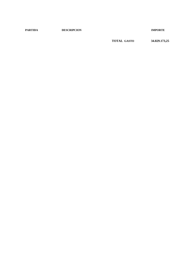**PARTIDA DESCRIPCION IMPORTE**

**TOTAL GASTO 34.829.173,25**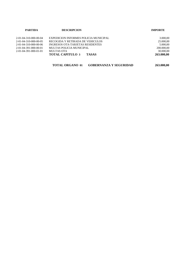| <b>PARTIDA</b>        | <b>DESCRIPCION</b>                      | <b>IMPORTE</b> |
|-----------------------|-----------------------------------------|----------------|
| 2-01-04-310-000-00-04 | EXPEDICION INFORMES POLICIA MUNICIPAL   | 3.000,00       |
| 2-01-04-310-000-00-05 | RECOGIDA Y RETIRADA DE VEHICULOS        | 25.000,00      |
| 2-01-04-310-000-00-06 | INGRESOS OTA-TARJETAS RESIDENTES        | 5.000,00       |
| 2-01-04-391-000-00-01 | MULTAS POLICIA MUNICIPAL                | 200.000,00     |
| 2-01-04-391-000-01-01 | MULTAS OTA                              | 30.000,00      |
|                       | <b>TOTAL CAPITULO 3</b><br><b>TASAS</b> | 263.000.00     |
|                       |                                         |                |

| <b>TOTAL ORGANO 01</b> | <b>GOBERNANZA Y SEGURIDAD</b> | 263.000,00 |
|------------------------|-------------------------------|------------|
|------------------------|-------------------------------|------------|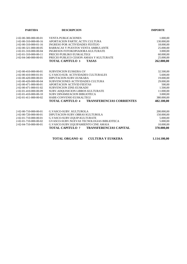| <b>DESCRIPCION</b>                                          | <b>IMPORTE</b> |
|-------------------------------------------------------------|----------------|
| <b>VENTA PUBLICACIONES</b>                                  | 1.000,00       |
| APORTACION PARTIC.ACTIV.CULTURA                             | 130.000,00     |
| <b>INGRESO POR ACTIVIDADES FESTEJO</b>                      | 18.000,00      |
| BARRACAS Y PUESTOS VENTA AMBULANTE                          | 25.000,00      |
| <b>INGRESOS FOTOKOPIADORA KULTURATE</b>                     | 3.000,00       |
| PRECIO PUBLIKO EUSKALTEGI                                   | 60.000,00      |
| PRECIO PUBLICO CESION AMAIA Y KULTURATE                     | 25.000,00      |
| <b>TOTAL CAPITULO 3</b><br><b>TASAS</b>                     | 262.000,00     |
| <b>SUBVENCION EUSKERA GV</b>                                | 32.500,00      |
| <b>G.VASCO:SUB. ACTIVIDADES CULTURALES</b>                  | 5.600,00       |
| DIPUTACION-SUBV.EUSKARA                                     | 19.000,00      |
| SUBVENCIONES ACTIVIDADES CULTURA                            | 29.000,00      |
| <b>APORTACION ACTIVID FIESTAS</b>                           | 500,00         |
| SUBVENCION ZINE-EUSKADI!                                    | 1.500,00       |
| SUBV.ADOUISICION LIBROS KULTURATE                           | 11.000,00      |
| SUBV.DINAMIZACION BIBLIOTECA                                | 3.000,00       |
| HABE-CONVENIO EUSKALTEGI                                    | 380.000,00     |
| <b>TRANSFERENCIAS CORRIENTES</b><br><b>TOTAL CAPITULO 4</b> | 482.100,00     |
| <b>G.VASCO-SUBV. KULTUROLA</b>                              | 200.000,00     |
| DIPUTACION-SUBV.OBRAS KULTUROLA                             | 150.000,00     |
| G.VASCO-SUBV.EQUIP.KULTURATE                                | 5.000,00       |
| GVASCO-SUBV.NUEVAS TECNOLOGIAS BIBLIOTECA                   | 5.000,00       |
| G.VASCO:SUBV.EQUIPAMIENTO CINE AMAIA                        | 10.000,00      |
| TOTAL CAPITULO 7<br><b>TRANSFERENCIAS CAPITAL</b>           | 370.000,00     |
|                                                             |                |

**TOTAL ORGANO 02 CULTURA Y EUSKERA 1.114.100,00**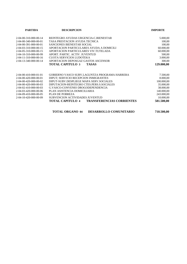| <b>PARTIDA</b>                      | <b>DESCRIPCION</b>                                   | <b>IMPORTE</b> |
|-------------------------------------|------------------------------------------------------|----------------|
| 2-04-00-310-000-00-14               | REINTEGRO AYUDAS URGENCIA-C.BIENESTAR                | 5.000,00       |
| 2-04-00-340-000-00-01               | TASA PRESTACION AYUDA TECNICA                        | 100,00         |
| 2-04-00-391-000-00-01               | SANCIONES BIENESTAR SOCIAL                           | 100,00         |
| 2-04-03-310-000-00-15               | APORTACION PARTICULARES AYUDA A DOMICILI             | 60.000,00      |
| 2-04-05-310-000-00-15               | APORTACION PARTICULARES VIV.TUTELADA                 | 60.000,00      |
| 2-04-10-310-000-00-99               | APORT. PARTIC. ACTIV. JUVENTUD                       | 500,00         |
| 2-04-11-310-000-00-16               | <b>CUOTA SERVICIOS LUDOTEKA</b>                      | 3.000,00       |
| 2-04-13-340-000-00-14               | APORTACION DEPOSGAZ GASTOS ASCENSOR                  | 300,00         |
|                                     | <b>TOTAL CAPITULO 3</b><br><b>TASAS</b>              | 129.000,00     |
|                                     |                                                      |                |
| 2-04-00-410-000-01-01               | GOBIERNO VASCO SUBV.LAGUNTZA PROGRAMA HARRERA        | 7.500,00       |
| $2 - 04 - 00 - 420 - 000 - 00 - 01$ | DIPUT: SERVICIO RECEPCION INMIGRANTES                | 8.000,00       |
| 2-04-00-420-000-00-02               | DIPUT-SUBV.DESPLIEGE MAPA SERV.SOCIALES              | 100.000,00     |
| 2-04-00-420-000-00-03               | DIPUTACION-REINTEGRO CTES.PERS.S.SOCIALES            | 35.000,00      |
| 2-04-02-410-000-00-03               | G.VASCO-CONVENIO DROGODEPENDENCIA                    | 38.000,00      |
| 2-04-03-420-000-00-06               | PLAN ASISTENCIA DOMICILIARIA                         | 140.000,00     |
| 2-04-09-410-000-00-05               | PLAN DE POBREZA                                      | 243.000,00     |
| 2-04-10-420-000-00-09               | SUBVENCION ACTIVIDADES JUVENTUD                      | 10.000,00      |
|                                     | TOTAL CAPITULO 4<br><b>TRANSFERENCIAS CORRIENTES</b> | 581.500,00     |
|                                     |                                                      |                |

| <b>TOTAL ORGANO 04</b> | <b>DESARROLLO COMUNITARIO</b> | 710.500,00 |
|------------------------|-------------------------------|------------|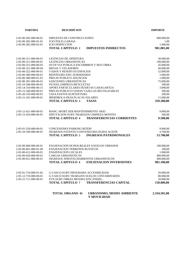| <b>PARTIDA</b>                                                          | <b>DESCRIPCION</b>                                                                      | <b>IMPORTE</b>                 |
|-------------------------------------------------------------------------|-----------------------------------------------------------------------------------------|--------------------------------|
| 2-05-00-282-000-00-01<br>2-05-00-282-000-01-01<br>2-05-00-282-000-02-01 | <b>IMPUESTO DE CONSTRUCCIONES</b><br><b>ICIO POLIG.GARAIA</b><br><b>ICIO INSPECCION</b> | 900.000,00<br>1,00<br>1.000,00 |
|                                                                         | <b>TOTAL CAPITULO 2</b><br><b>IMPUESTOS INDIRECTOS</b>                                  | 901.001,00                     |
| 2-05-00-311-000-00-01                                                   | LICENCIAS DE APERTURA                                                                   | 30.000,00                      |
| 2-05-00-312-000-00-01                                                   | LICENCIAS URBANISTICAS                                                                  | 100.000,00                     |
| 2-05-00-321-000-00-03                                                   | OCUP.VIA PUBLICA-ESCOMBROS Y MAT.OBRA                                                   | 45.000,00                      |
| 2-05-00-321-000-00-04                                                   | <b>MESAS Y VELADORES</b>                                                                | 40.000,00                      |
| 2-05-00-322-000-00-01                                                   | VADOS Y RESERVAS ESPACIOS                                                               | 52.000,00                      |
| 2-05-00-380-000-00-01                                                   | REINTEGRO EJEC.SUBSIDIARIA                                                              | 1.000,00                       |
| 2-05-00-380-000-01-01                                                   | PRECIO PUBLICO ANUNCIOS                                                                 | 1.000,00                       |
| 2-05-00-391-000-00-01                                                   | SANCIONES URBANISTICAS                                                                  | 75.000,00                      |
| 2-05-10-340-000-00-01                                                   | FICHAS LIMPIEZA BICICLETAS                                                              | 500,00                         |
| 2-05-14-310-000-00-15                                                   | APORT.PARTICULARES HUERTAS GARAGARTZA                                                   | 3.000,00                       |
| 2-05-15-340-000-00-01                                                   | PRECIO PUBLICO CESION VAJILLAS REUTILIZABLES                                            | 500,00                         |
| 2-05-20-310-000-00-01<br>2-05-21-341-000-00-01                          | TASA PASTOS KURTZETXIKI<br><b>IBERDROLA-FRAS.PLACAS SOLARES</b>                         | 200,00<br>11.000,00            |
|                                                                         | <b>TASAS</b>                                                                            |                                |
|                                                                         | <b>TOTAL CAPITULO 3</b>                                                                 | 359.200,00                     |
| 2-05-12-421-000-00-01                                                   | MANC.APORT.SER.MANTENIMIENTO AKEI                                                       | 9.000,00                       |
| 2-05-15-410-000-00-01                                                   | DIPUTACION-SUBV.TRABAJOS LIMPIEZA MONTES                                                | 500,00                         |
|                                                                         | <b>TOTAL CAPITULO 4</b><br><b>TRANSFERENCIAS CORRIENTES</b>                             | 9.500,00                       |
| 2-05-01-550-000-00-01                                                   | <b>CONCESIONES PARKING BITERI</b>                                                       | 9.000,00                       |
| 2-05-10-549-000-00-01                                                   | INGRESOS PATENTE-CONVENIO RECOGIDA ACEITE                                               | 4.700,00                       |
|                                                                         | <b>TOTAL CAPITULO 5</b><br><b>INGRESOS PATRIMONIALES</b>                                | 13.700,00                      |
| 2-05-00-600-000-00-01                                                   | ENAJENACION DCHOS.REALES S/SUELOS URBANOS                                               | 100.000,00                     |
| 2-05-00-601-000-01-00                                                   | <b>ENAJENACION TERRENOS RUSTICOS</b>                                                    | 100,00                         |
| 2-05-00-612-000-00-01                                                   | <b>ENAJENACION LOCALES</b>                                                              | 1.000,00                       |
| 2-05-00-650-000-00-01                                                   | <b>CARGAS URBANISTICAS</b>                                                              | 400.000,00                     |
| 2-05-00-651-000-00-01                                                   | INGRESOS APROVECHAMIENTOS URBANISTICOS                                                  | 400.000,00                     |
|                                                                         | <b>TOTAL CAPITULO 6</b><br><b>ENEJENACION INVERSIONES</b>                               | 901.100,00                     |
| 2-05-01-710-000-01-02                                                   | G.VASCO-SUBV.PROGRAMA ACCESIBILIDAD                                                     | 50.000,00                      |
| 2-05-12-710-000-00-01                                                   | <b>G.VASCO-SUBV.TRABAJOS SUELOS CONTAMINADOS</b>                                        | 80.000,00                      |
| 2-05-21-711-000-00-01                                                   | EVE-SUBV.OBRAS MEJORA EFIC.ENERG                                                        | 20.000,00                      |
|                                                                         | <b>TRANSFERENCIAS CAPITAL</b><br><b>TOTAL CAPITULO 7</b>                                | 150.000,00                     |
|                                                                         | <b>TOTAL ORGANO 05</b><br>URBANISMO, MEDIO AMBIENTE<br>Y MOVILIDAD                      | 2.334.501,00                   |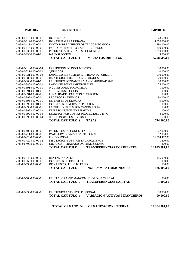| <b>PARTIDA</b>                                                                                                                                                                                                                                                                                                                                                                                               | <b>DESCRIPCION</b>                                                                                                                                                                                                                                                                                                                                                                                                                                                                                                                                             | <b>IMPORTE</b>                                                                                                                                                                                                 |
|--------------------------------------------------------------------------------------------------------------------------------------------------------------------------------------------------------------------------------------------------------------------------------------------------------------------------------------------------------------------------------------------------------------|----------------------------------------------------------------------------------------------------------------------------------------------------------------------------------------------------------------------------------------------------------------------------------------------------------------------------------------------------------------------------------------------------------------------------------------------------------------------------------------------------------------------------------------------------------------|----------------------------------------------------------------------------------------------------------------------------------------------------------------------------------------------------------------|
| 2-06-00-112-000-00-01<br>2-06-00-112-000-00-02<br>2-06-00-113-000-00-01<br>2-06-00-114-000-00-01<br>2-06-00-130-000-00-01<br>2-06-00-130-000-01-01                                                                                                                                                                                                                                                           | <b>IBI RUSTICA</b><br><b>IBI NATURALEZA URBANA</b><br>IMPTO.SOBRE VEHICULOS TRACC.MECANICA<br><b>IMPTO.INCREMENTO VALOR TERRENOS</b><br>IMPUESTO ACTIVIDADES ECONOMICAS<br><b>IAE INSPECCION</b><br><b>TOTAL CAPITULO 1</b><br><b>IMPUESTOS DIRECTOS</b>                                                                                                                                                                                                                                                                                                       | 23.500,00<br>4.050.000,00<br>1.580.000,00<br>300.000,00<br>1.250.000,00<br>5.000,00<br>7.208.500,00                                                                                                            |
| 2-06-00-310-000-00-04<br>2-06-00-321-000-00-02<br>2-06-00-321-000-00-09<br>2-06-00-380-000-00-01<br>2-06-00-380-000-01-01<br>2-06-00-380-000-00-02<br>2-06-00-391-000-00-01<br>2-06-00-391-000-01-01<br>2-06-00-391-000-02-01<br>2-06-00-392-000-00-01<br>2-06-00-393-000-00-01<br>2-06-00-393-000-01-01<br>2-06-00-399-000-00-01<br>2-06-00-399-000-00-02<br>2-06-00-399-000-00-03<br>2-06-00-399-000-00-04 | <b>EXPEDICION DE DOCUMENTOS</b><br>QUIOSCOS<br>EMPRESAS DE SUMINIST., APROV. VIA PUBLICA<br>REINTEGROS EJERCICIOS CERRADOS<br>REINTEGRO SOBRANTES MANCOMUNIDAD 2018<br>DAÑOS EN BIENES MUNICIPALES<br>MULTAS AREA ECONOMICA<br>MULTAS INSPECCION<br>PENALIDADES EXP. CONTRATACION<br><b>RECARGOS APREMIOS</b><br><b>INTERESES DE DEMORA</b><br>INTERESES DEMORA INSPECCION<br>PARTIC.RECAUDACION CANON AGUA<br><b>INGRESOS EJECUCION FIANZAS</b><br>INGRESOS POR COSTAS PROCED.EJECUTIVO<br>OTROS INGRESOS DIVERSOS<br><b>TOTAL CAPITULO 3</b><br><b>TASAS</b> | 30.000,00<br>10.000,00<br>550.000,00<br>20.000,00<br>30.000,00<br>25.000,00<br>1.000,00<br>1.000,00<br>1.000,00<br>90.000,00<br>5.000,00<br>100,00<br>1.500,00<br>1.000,00<br>8.000,00<br>500,00<br>774.100,00 |
| 2-06-00-400-000-00-01<br>2-06-00-411-000-00-01<br>2-06-00-420-000-00-01<br>2-06-00-420-000-00-02<br>2-06-02-400-000-00-01                                                                                                                                                                                                                                                                                    | <b>IMPUESTOS NO CONCERTADOS</b><br><b>IVAP-SUBV.FORMACION PERSONAL</b><br><b>FONDO FORAL</b><br>DIPUTACION-SUBV.RESTAURAC.LIBROS<br>INE-APORT. TRABAJOS ACTUALIZ.CENSO<br><b>TOTAL CAPITULO 4</b><br><b>TRANSFERENCIAS CORRIENTES</b>                                                                                                                                                                                                                                                                                                                          | 27.000,00<br>12.000,00<br>16.004.487,00<br>1.500,00<br>300,00<br>16.045.287,00                                                                                                                                 |
| 2-06-00-540-000-00-01<br>2-06-00-560-000-00-01<br>2-06-00-590-000-00-01                                                                                                                                                                                                                                                                                                                                      | <b>RENTAS LOCALES</b><br><b>INTERESES DE DEPOSITOS</b><br>DESCUENTOS PRONTO PAGO<br><b>TOTAL CAPITULO 5</b><br><b>INGRESOS PATRIMONIALES</b>                                                                                                                                                                                                                                                                                                                                                                                                                   | 185.000,00<br>1.000,00<br>100,00<br>186.100,00                                                                                                                                                                 |
| 2-06-00-780-000-00-01                                                                                                                                                                                                                                                                                                                                                                                        | REINT.SOBRANTE MANCOMUNIDAD OP CAPITAL<br><b>TOTAL CAPITULO 7</b><br><b>TRANSFERENCIAS CAPITAL</b>                                                                                                                                                                                                                                                                                                                                                                                                                                                             | 1.000.00<br>1.000,00                                                                                                                                                                                           |
| 2-06-00-833-000-00-01                                                                                                                                                                                                                                                                                                                                                                                        | REINTEGRO ANTICIPOS PERSONAL<br><b>TOTAL CAPITULO 8</b><br><b>VARIACION ACTIVOS FINANCIEROS</b>                                                                                                                                                                                                                                                                                                                                                                                                                                                                | 90.000,00<br>90.000,00                                                                                                                                                                                         |
|                                                                                                                                                                                                                                                                                                                                                                                                              | ORGANIZACIÓN INTERNA<br><b>TOTAL ORGANO 06</b>                                                                                                                                                                                                                                                                                                                                                                                                                                                                                                                 | 24.304.987,00                                                                                                                                                                                                  |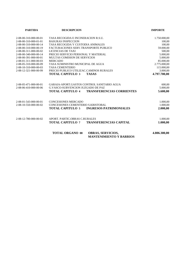| <b>PARTIDA</b>        | <b>DESCRIPCION</b>                                                                   | <b>IMPORTE</b> |
|-----------------------|--------------------------------------------------------------------------------------|----------------|
| 2-08-00-310-000-00-01 | TASA RECOGIDA E INCINERACION R.S.U.                                                  | 1.750.000,00   |
| 2-08-00-310-000-01-01 | <b>BASURAS INSPECCION</b>                                                            | 100,00         |
| 2-08-00-310-000-00-14 | TASA RECOGIDA Y CUSTODIA ANIMALES                                                    | 100,00         |
| 2-08-00-310-000-00-19 | FACTURACIONES SERV.TRANSPORTE PUBLICO                                                | 59.000,00      |
| 2-08-00-311-000-00-02 | LICENCIAS DE TAXI                                                                    | 500,00         |
| 2-08-00-340-000-00-14 | PRECIO SERVICIO PERSONAL Y MATERIAL                                                  | 5.000,00       |
| 2-08-00-391-000-00-01 | MULTAS COMISION DE SERVICIOS                                                         | 5.000,00       |
| 2-08-01-311-000-00-03 | <b>MERCADO</b>                                                                       | 85.000,00      |
| 2-08-05-310-000-00-09 | TASA SUMINISTRO MUNICIPAL DE AGUA                                                    | 2.775.000,00   |
| 2-08-10-310-000-00-03 | <b>TASA CEMENTERIO</b>                                                               | 115.000,00     |
| 2-08-12-321-000-00-99 | PRECIO PUBLICO UTILIZAC.CAMINOS RURALES                                              | 3.000,00       |
|                       | <b>TOTAL CAPITULO 3</b><br><b>TASAS</b>                                              | 4.797.700,00   |
| 2-08-05-471-000-00-01 | GARAIA-APORT.GASTOS CONTROL SANITARIO AGUA                                           | 600,00         |
| 2-08-06-410-000-00-06 | <b>G.VASCO-SUBVENCION JUZGADO DE PAZ</b>                                             | 5.000,00       |
|                       | <b>TOTAL CAPITULO 4</b><br><b>TRANSFERENCIAS CORRIENTES</b>                          | 5.600,00       |
| 2-08-01-543-000-00-01 | <b>CONCESIONES MERCADO</b>                                                           | 1.000,00       |
| 2-08-10-550-000-00-02 | CONCESIONES CEMENTERIO S.KRISTOBAL                                                   | 1.000,00       |
|                       | <b>TOTAL CAPITULO 5</b><br><b>INGRESOS PATRIMONIALES</b>                             | 2.000,00       |
| 2-08-12-780-000-00-02 | APORT. PARTIC.OBRAS C.RURALES                                                        | 1.000,00       |
|                       | TOTAL CAPITULO 7<br><b>TRANSFERENCIAS CAPITAL</b>                                    | 1.000,00       |
|                       | <b>TOTAL ORGANO 08</b><br><b>OBRAS, SERVICIOS,</b><br><b>MANTENIMIENTO Y BARRIOS</b> | 4.806.300,00   |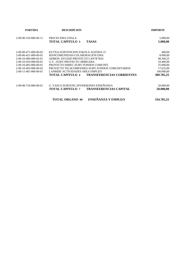| <b>PARTIDA</b>                      | <b>DESCRIPCION</b>                                          | <b>IMPORTE</b>       |
|-------------------------------------|-------------------------------------------------------------|----------------------|
| 2-09-06-310-000-00-11               | PRECIO EMA UDALA<br><b>TOTAL CAPITULO 3</b><br><b>TASAS</b> | 5.000,00<br>5.000,00 |
| $2 - 09 - 00 - 471 - 000 - 00 - 02$ | KUTXA-SUBVENCION ESKOLA AGENDA 21                           | 400,00               |
| $2-09-06-421-000-00-01$             | MANCOMUNIDAD-COLABORACION EMA                               | 8.000,00             |
| 2-09-10-400-000-02-01               | ADMON. ESTADO PROYECTO LAN"R"BAI                            | 98.360,25            |
| 2-09-10-410-000-00-01               | G.V. - SUBV.PROYECTO ARBIGARA                               | 10.400,00            |
| $2-09-10-493-000-00-01$             | PROYECTO SHREC-SUBV.FONDOS COMUNIT.                         | 35.000,00            |
| 2-09-10-493-000-00-02               | PROYECTO TEC4COMPANIES-SUBV.FONDOS COMUNITARIOS             | 17.625,00            |
| 2-09-11-401-000-00-01               | LANBIDE-ACTIVIDADES AREA EMPLEO                             | 140.000,00           |
|                                     | <b>TRANSFERENCIAS CORRIENTES</b><br><b>TOTAL CAPITULO 4</b> | 309.785,25           |
| 2-09-00-710-000-00-01               | G. VASCO SUBVENC. INVERSIONES ENSEÑANZA                     | 20.000,00            |
|                                     | TOTAL CAPITULO 7<br><b>TRANSFERENCIAS CAPITAL</b>           | 20.000,00            |
|                                     | ENSEÑANZA Y EMPLEO<br><b>TOTAL ORGANO 09</b>                | 334.785,25           |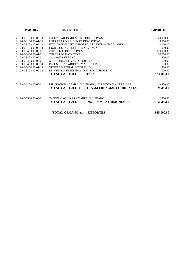| <b>PARTIDA</b>                      | <b>DESCRIPCION</b>                                          | <b>IMPORTE</b> |
|-------------------------------------|-------------------------------------------------------------|----------------|
| $2 - 12 - 00 - 310 - 000 - 00 - 10$ | CUOTAS ABONADOS INST. DEPORTIVAS                            | 620.000,00     |
| $2 - 12 - 00 - 310 - 000 - 01 - 10$ | ENTRADAS DIARIO INST. DEPORTIVAS                            | 45.000,00      |
| 2-12-00-310-000-02-10               | UTILIZACION INST. DEPORTIVAS CENTROS ESCOLARES              | 13.000,00      |
| $2-12-00-310-000-03-10$             | INGRESOS INST. DEPORT. NAVIDAD                              | 1.000,00       |
| 2-12-00-340-000-00-01               | <b>CURSILLOS DEPORTIVOS</b>                                 | 180.000,00     |
| $2 - 12 - 00 - 340 - 000 - 01 - 01$ | <b>CURSILLOS NATACION</b>                                   | 60.000,00      |
| $2 - 12 - 00 - 340 - 000 - 02 - 01$ | CAMPAÑA VERANO                                              | 500,00         |
| 2-12-00-340-000-03-01               | OTRAS INICIATIVAS DEPORTIVAS                                | 500,00         |
| 2-12-00-340-000-00-14               | REPOSICION TARJETAS MAGNETICAS                              | 500,00         |
| 2-12-00-340-000-01-14               | VENTA MATERIAL DEPORTIVO                                    | 1.500,00       |
| 2-12-00-380-000-00-02               | REINTEGRO SINIESTROS INST. POLIDEPORTIVO                    | 1.000,00       |
|                                     | <b>TOTAL CAPITULO 3</b><br><b>TASAS</b>                     | 923.000,00     |
| 2-12-00-410-000-00-01               | DIPUTACION - CAMPAÑA VERANO, NATACION Y ACT.DISCAP          | 9.500,00       |
|                                     | <b>TOTAL CAPITULO 4</b><br><b>TRANSFERENCIAS CORRIENTES</b> | 9.500,00       |
| 2-12-00-553-000-00-01               | CANON MAQUINAS Y TABERNA VERANO                             | 2.500,00       |
|                                     | TOTAL CAPITULO 5<br><b>INGRESOS PATRIMONIALES</b>           | 2.500,00       |
|                                     | <b>TOTAL ORGANO 12</b><br><b>DEPORTES</b>                   | 935.000,00     |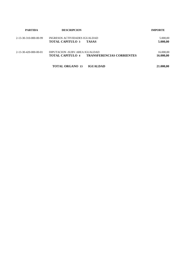| <b>PARTIDA</b>        | <b>DESCRIPCION</b>                                        |                                  | <b>IMPORTE</b>         |  |
|-----------------------|-----------------------------------------------------------|----------------------------------|------------------------|--|
| 2-13-30-310-000-00-99 | INGRESOS ACTIVIDADES IGUALDAD<br><b>TOTAL CAPITULO 3</b>  | <b>TASAS</b>                     | 5.000,00<br>5.000,00   |  |
| 2-13-30-420-000-00-01 | DIPUTACION -SUBV.AREA IGUALDAD<br><b>TOTAL CAPITULO 4</b> | <b>TRANSFERENCIAS CORRIENTES</b> | 16.000,00<br>16.000,00 |  |
|                       | <b>TOTAL ORGANO 13</b>                                    | <b>IGUALDAD</b>                  | 21.000,00              |  |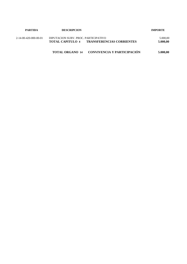| PARTIDA               | <b>DESCRIPCION</b>                                                                        |                             | <b>IMPORTE</b>       |  |
|-----------------------|-------------------------------------------------------------------------------------------|-----------------------------|----------------------|--|
| 2-14-00-420-000-00-01 | DIPUTACION SUBV. PROC. PARTICIPATIVO<br><b>TOTAL CAPITULO 4 TRANSFERENCIAS CORRIENTES</b> |                             | 5.000,00<br>5.000.00 |  |
|                       | <b>TOTAL ORGANO 14</b>                                                                    | CONVIVENCIA Y PARTICIPACIÓN | 5.000.00             |  |